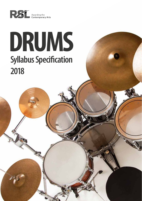

# **DRUMS Syllabus Specification 2018**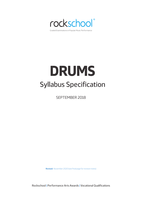

# **DRUMS** Syllabus Specification

SEPTEMBER 2018

**Revised:** November 2020 (see final page for revision notes)

Rockschool | Performance Arts Awards | Vocational Qualifications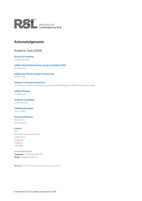

## **Acknowledgements**

### Academic Team (2018)

## **Director Of Academic**

Tim Bennett-Hart

**Syllabus Specification Revision, Design and Update 2018** Jono Harrison

#### **Syllabus Specification Design & Typesetting**

Simon Troup

#### **Syllabus Proofing & Amendments** Jono Harrison, Sarah Perryman, Daniel Latham, Hannah Blabey, Tim Bennett-Hart, Sharon Kelly

**Syllabus Manager** Jono Harrison

**Academic Coordinator** Calum Harrison

### **Publishing Executive**

Sharon Kelly

#### **Executive Producers**

Norton York John Simpson

#### **Contact**

RSL Harlequin House Ground Floor 7 High Street Teddington Middlesex TW11 8EE

#### www.rslawards.com

**Telephone:** +44 (0)345 460 4747 **Email:** info@rslawards.com

**Revised:** 5 May 2020 (see final page for revision notes)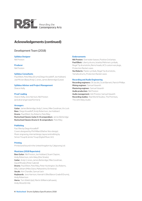

## **Acknowledgements (continued)**

### Development Team (2018)

#### **Syllabus Designer**

Nik Preston

**Producer**

Nik Preston

#### **Syllabus Consultants**

Paul Elliott, Pete Riley (Drums) Diego Kovadloff, Joe Hubbard, Joel McIver (Bass) Andy G Jones, James Betteridge (Guitar)

#### **Syllabus Advisor and Project Management**

Sharon Kelly

#### **Proof reading**

Sharon Kelly, Jono Harrison, Nik Preston (and all arrangers/performers)

#### **Arrangers**

**Guitar:** James Betteridge, Andy G Jones, Mike Goodman, Viv Lock **Bass:** Diego Kovadloff, Andy Robertson, Joe Hubbard **Drums:** Paul Elliott, Stu Roberts, Pete Riley **Rockschool Classics Guitar 6–8 compendium:** James Betteridge **Rockschool Classics Drums 6–8 compendium:** Pete Riley

#### **Publishing**

Fact files by Diego Kovadloff Covers designed by Phil Millard (Rather Nice design) Music engraving, internal design, layout and editing by Simon Troup & Jennie Troup (Digital Music Art)

#### **Printing**

Printed and bound in the United Kingdom by Caligraving Ltd.

#### **Musicians (2018 Repertoire)**

**Bass Guitar:** Nik Preston, Joe Hubbard, Stuart Clayton, Andy Robertson, John Ilsley (Dire Straits) **Guitar:** Andy G Jones, James Betteridge, Mike Goodman, David Rhodes (Peter Gabriel) **Drums:** Paul Elliott, Pete Riley, Peter Huntington, Stu Roberts, Billy Cobham (Miles Davis, Mahavishnu Orchestra) **Vocals:** Kim Chandler, Samuel Jack **Keyboards:** Jono Harrison, Hannah V (Red Baron Grade 8 Drums), Andy Robertson **Horns:** Tom Walsh (tpt), Martin Williams (all saxes), Andy Wood (trmb).

#### **Endorsements**

**Nik Preston:** Overwater basses, Positive Grid amps. **Paul Elliott:** Liberty drums, Istanbul Mehmet cymbals, Regal Tip drumsticks, Remo heads, ACS custom ear plugs, Protection Racket cases. **Stu Roberts:** Paiste cymbals, Regal Tip drumsticks, Yamaha drums, Protection Racket cases

#### **Recording and Audio Engineering**

**Recording engineers:** Oli Jacobs, Scott Barnett, Patrick Phillips **Mixing engineer:** Samuel Vasanth **Mastering engineer:** Samuel Vasanth **Audio production:** Nik Preston **Audio management:** Ash Preston, Samuel Vasanth **Recording studios:** Real World Studios, The Premises, The John Ilsley studio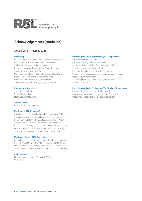

# **Acknowledgements (continued)**

## Development Team (2012)

#### **Publishing**

Fact Files written by Joe Bennett, Charlie Griffiths, Stephen Lawson, Simon Pitt, Stuart Ryan and James Uings Walkthroughs written by James Uings Music engraving and book layout by Simon Troup and Jennie Troup of Digital Music Art Proof reading and copy editing by Chris Bird, Claire Davies, Stephen Lawson, Simon Pitt and James Uings Publishing administration by Caroline Uings Additional drum proof reading by Miguel Andrews

#### **Instrumental Specialists**

James Uings (Guitar) Stuart Clayton (Bass) Noam Lederman (Drums)

#### **Special Thanks**

Brad Fuller and Georg Voros

#### **Musicians (2012 Repertoire)**

Andy Crompton, Camilo Tirado, Carl Sterling, Charlie Griffiths, Chris Webster, Dave Marks, DJ Harry Love, Felipe Karam, Fergus Gerrand, Henry Thomas, Jake Painter, James Arben, James Uings, Jason Bowld, Joe Bennett, Jon Musgrave, Kishon Khan, Kit Morgan, Larry Carlton, Neel Dhorajiwala, Nir Z, Noam Lederman, Norton York, Richard Pardy, Ross Stanley, Simon Troup, Steve Walker, Stuart Clayton, Stuart Ryan

#### **Musicians (Classics 2012 Repertoire)**

Arthur Dick, Brett Mason, Brett Morgan, Charlie Griffiths, Chris Baron, Dave Cottrell, Ian Thomas, Jason Bowld, Jonas Persson, Noam Lederman, Paul Honey, Paul Townsend, Steve Allsworth, Stuart Clayton, The Fullfat Horns, Tom Farncombe, Tom Fleming

#### **Endorsements**

Noam Lederman: Mapex Drums, PAISTE cymbals, Vic Firth Sticks.

#### **Recording and Audio Engineering (2012 Repertoire)**

Recorded at Fisher Lane Studios Produced and engineered by Nick Davis Assistant engineer and Pro Tools operator Mark Binge Mixed and mastered at Langlei Studios Mixing and additional editing by Duncan Jordan Supporting Tests recorded by Duncan Jordan and Kit Morgan Mastered by Duncan Jordan Executive producers: James Uings, Jeremy Ward and Noam Lederman

#### **Recording and Audio Engineering (Classics 2012 Repertoire)**

Produced by Tom Farncombe (Hal Leonard) Engineered, mixed and mastered by Jonas Persson (Hal Leonard) Mastering and additional mixing by Duncan Jordan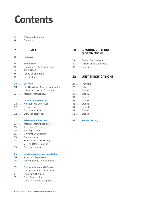# **Contents**

#### ................... Acknowledgements

**Contents** 

## .................. **PREFACE**

................... **Foreword**

#### ................... **Introduction**

- ................... The Value Of RSL Qualifications
- RSL & UCAS
- ................... Period Of Operation
- ................... Examinations

#### ............... **Overview**

- ............... Unit Overview Graded Examinations in Popular Music Performance
- ................. Assessment Overview

#### ................ **Qualification Summary**

- ................ Aims & Broad Objectives
- ................ Progression
- ................ Qualification Structure
- ................ Entry Requirements

#### ................ **Assessment Information**

- ................ Assessment Methodology
- ................ Assessment Timings
- ................ Marking Schemes
- ................ Examination Structure
- ................ General Notes
- ................ Expectations of Knowledge, Skills and Understanding
- ................ Quality Assurance

#### ................ **Candidate Access and Registration**

- ................ Access and Registration
- ................ Recommended Prior Learning

#### ................ **Further Information & Contact**

- ................ Guidance on Free Choice Pieces
- ................ Complaints & Appeals
- ................ Equal Opportunities
- ................ Contacts for Help & Support

## ............. **GRADING CRITERIA & DEFINITIONS**

- ................ Graded Examinations
- ................ Performance Certificates
- 22 Definitions

## ............. **UNIT SPECIFICATIONS**

- ............... Premiere 27 Debut Grade 1 ............... Grade 2 ............... Grade 3 ............... Grade 4 .............. Grade 5 ................ Grade 6 ............... Grade 7 ............... Grade 8
- ............... **Revision History**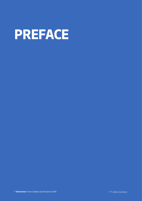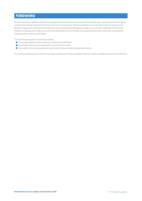# **FOREWORD**

Rockschool's Drum Syllabus 2018 has been designed to build upon the ever-popular 2012 qualification, expanding upon the original compositions with arrangements of six new 'hit tunes' at each grade. This has resulted in an even broader scope for learners at all levels to engage with repertoire which has been rigorously benchmarked against academic and industry standards. Furthermore, students can gauge their progress via commensurate levels of technical exercises, prepared and unseen skills tests and questions relating to their studies at each grade.

This specification guide serves three purposes:

- $\blacksquare$  To provide regulatory information surrounding the qualification
- $\blacksquare$  To provide an overview of examination structure and content
- $\blacksquare$  To provide content and assessment specification relevant to each graded examination

Rockschool's graded exams continue to provide a progressive mastery approach to music and an enjoyable experience for all learners.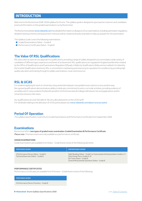## **INTRODUCTION**

Welcome to the Rockschool 2018–2024 syllabus for Drums. This syllabus guide is designed to give teachers, learners and candidates practical information on the graded examinations run by Rockschool.

The Rockschool website www.rslawards.com has detailed information on all aspects of our examinations, including examination regulations, detailed marking schemes and assessment criteria as well as notated and audio examples to help you prepare for the examination.

This Syllabus Guide covers the following examinations:

- Graded Examinations Debut Grade 8
- Performance Certificates Debut Grade 8

### **The Value Of RSL Qualifications**

RSL advocates an open access approach to qualifications, providing a range of syllabi, designed to accommodate a wide variety of candidates of different ages, experience and levels of achievement. RSL qualifications are regulated in England and Northern Ireland by the Office of Qualifications and Examinations Regulation (Ofqual), in Wales by Qualifications Wales and accredited in Scotland by the Scottish Qualifications Authority. RSL is committed to maintaining and improving its reputation for excellence by providing high quality education and training through its syllabi, examinations, music and resources.

## **RSL & UCAS**

For students applying for work or University, many potential employers see graded music exams in a very positive way. Recognised qualifications demonstrate an ability to dedicate commitment to extra-curricular activities, providing evidence of versatility which many students find beneficial within UCAS (Universities & Colleges Admissions Service) applications and for University entrance interviews.

Our qualifications at Level 3 (Grades 6–8) carry allocated points on the UCAS tariff. For full details relating to the allocation of UCAS points please see: www.rslawards.com/about-us/ucas-points

## **Period Of Operation**

This syllabus specification covers Drums Grade Examinations and Performance Certificates from September 2018.

### **Examinations**

Rockschool offers **two types of graded music examination: Graded Examination & Performance Certificate**. *Please note:* Premiere exams are only available as a performance certificate.

#### **GRADE EXAMINATIONS**

Grade Examinations are available from Debut – Grade 8 and consist of the following elements:

| <b>PREPARED WORK</b>                                                          | <b>UNPREPARED WORK</b>                                                                                                                                                                         |
|-------------------------------------------------------------------------------|------------------------------------------------------------------------------------------------------------------------------------------------------------------------------------------------|
| 3 Performance Pieces: Debut - Grade 8<br>Technical Exercises: Debut - Grade 8 | Sight Reading: Debut – Grade 5 or Improvisation & Interpretation: Grades 1–5<br>Quick Study Piece: Grades 6-8<br>Ear Tests: Debut - Grade 8<br>General Musicianship Questions: Debut - Grade 8 |

#### **PERFORMANCE CERTIFICATES**

Performance Certificates are available from Premiere – Grade 8 and consist of the following:

#### **PREPARED WORK**

5 Performance Pieces: Premiere – Grade 8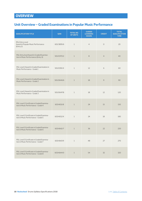# **OVERVIEW**

# **Unit Overview – Graded Examinations in Popular Music Performance**

| <b>QUALIFICATION TITLE</b>                                                        | QAN        | <b>TOTAL NO.</b><br>OF UNITS | <b>GUIDED</b><br><b>LEARNING</b><br><b>HOURS</b> | <b>CREDIT</b>  | <b>TOTAL</b><br><b>QUALIFICATION</b><br><b>TIME</b> |
|-----------------------------------------------------------------------------------|------------|------------------------------|--------------------------------------------------|----------------|-----------------------------------------------------|
| RSL Entry Level<br>Award in Popular Music Performance<br>[Entry 2]                | 601/3895/6 | $\mathbf{1}$                 | $\overline{4}$                                   | $\circ$        | 20                                                  |
| RSL Entry level Award in Graded Examina-<br>tion in Music Performance (Entry 3)   | 501/0370/2 | $\mathbf{1}$                 | 8                                                | $\overline{4}$ | 40                                                  |
| RSL Level 1 Award in Graded Examination in<br>Music Performance - Grade 1         | 501/0391/X | $\mathbf{1}$                 | 12                                               | 6              | 60                                                  |
| RSL Level 1 Award in Graded Examination in<br>Music Performance - Grade 2         | 501/0646/6 | $\mathbf{1}$                 | 18                                               | 9              | 90                                                  |
| RSL Level 1 Award in Graded Examination in<br>Music Performance - Grade 3         | 501/0647/8 | $\mathbf{1}$                 | 18                                               | 12             | 120                                                 |
| RSL Level 2 Certificate in Graded Examina-<br>tion in Music Performance - Grade 4 | 603/4151/8 | $\mathbf{1}$                 | 24                                               | 15             | 150                                                 |
| RSL Level 2 Certificate in Graded Examina-<br>tion in Music Performance - Grade 5 | 603/4152/X | $\mathbf{1}$                 | 24                                               | 18             | 180                                                 |
| RSL Level 3 Certificate in Graded Examina-<br>tion in Music Performance - Grade 6 | 603/4142/7 | $\mathbf{1}$                 | 36                                               | 22             | 220                                                 |
| RSL Level 3 Certificate in Graded Examina-<br>tion in Music Performance - Grade 7 | 603/4143/9 | 1                            | 48                                               | 27             | 270                                                 |
| RSL Level 3 Certificate in Graded Examina-<br>tion in Music Performance - Grade 8 | 603/4144/0 | $\mathbf{1}$                 | 54                                               | 32             | 320                                                 |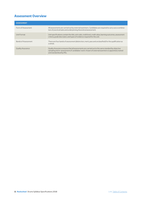## **Assessment Overview**

| <b>ASSESSMENT</b>        |                                                                                                                                                                                                                                    |
|--------------------------|------------------------------------------------------------------------------------------------------------------------------------------------------------------------------------------------------------------------------------|
| Form of Assessment       | All assessments are carried out by external examiners. Candidates are required to carry out a combina-<br>tion of practical tasks and underpinning theoretical assessment.                                                         |
| Unit Format              | Unit specifications contain the title, unit code, credit level, credit value, learning outcomes, assessment<br>criteria, grade descriptor, and types of evidence required for the unit.                                            |
| Bands of Assessment      | There are four bands of assessment (distinction, merit, pass and unclassified) for the qualification as<br>a whole.                                                                                                                |
| <b>Quality Assurance</b> | Quality Assurance ensures that all assessments are carried out to the same standard by objective<br>sampling and re-assessment of candidates' work. A team of external examiners is appointed, trained<br>and standardised by RSL. |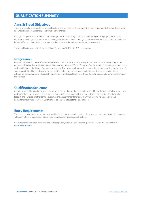# **QUALIFICATION SUMMARY**

## **Aims & Broad Objectives**

The aim of popular music performance qualifications is to provide a flexible, progressive mastery approach to the knowledge, skills and understanding required for popular music performance.

RSL's graded qualifications motivate and encourage candidates of all ages and levels through a system of progressive mastery, enabling candidates to develop and enhance skills, knowledge and understanding in a safe and consistent way. The qualifications are beneficial for candidates wishing to progress at their own pace through smaller steps of achievement.

These qualifications are suitable for candidates in the Under 16, 16+, 16–18, 19+ age groups.

## **Progression**

Graded qualifications provide a flexible progression route for candidates. They are a positive means of determining progress and enable candidates to learn the necessary techniques to gain entry to FE and HE courses. Graded qualifications operate according to a well-established methodology of 'progressive mastery'. They allow candidates to be tested in discrete stages in the development of a wide range of skills. They tend to be more rigorous than other types of exams and for that reason industry is confident that achievement at the highest level gained by candidates of graded qualifications will have the skills necessary to work in other areas of the business.

## **Qualification Structure**

A graded qualification consists of a range of both practical and knowledge-based elements which are based on detailed requirements outlined in the relevant syllabus. Therefore, requirements for each grade will be set out in detail in the Unit Specifications below (page 18 and onwards) and the learning outcomes and assessment criteria for each unit will require knowledge, skills and understanding of these syllabus requirements to be demonstrated at the grade entered.

## **Entry Requirements**

There are no entry requirements for these qualifications. However, candidates should be aware that the content at the higher grades will require a level of knowledge and understanding covered in previous qualifications.

For further details on exam dates and fees and to apply for your music performance grades please visit the RSL website at www.rslawards.com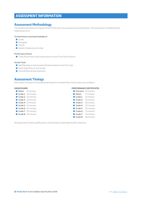# **ASSESSMENT INFORMATION**

## **Assessment Methodology**

The graded examinations in Popular Music Performance are assessed via an examination. The examination is divided into the following sections:

#### Technical tests covering knowledge of:

- Scales
- **Arpeggios**
- Chords
- Stylistic Studies (Level 3 only)

#### Performance Pieces

■ Three Performance pieces (two pieces can be 'Free Choice Pieces')

#### Unseen Tests

- G Sight Reading or Improvisation & Interpretation (Level 1 & 2 only)
- Quick Study Piece (Level 3 only)
- **General Musicianship Questions**

## **Assessment Timings**

Examination timings for the graded examinations in Popular Music Performance are as follows:

#### **GRADE EXAMS**

- Debut: 15 minutes
- Grade 1: 20 minutes
- Grade 2: 20 minutes
- Grade 3: 23 minutes
- Grade 4: 25 minutes
- Grade 5: 25 minutes
- Grade 6: 30 minutes
- Grade 7: 30 minutes
- Grade 8: 30 minutes

#### **PERFORMANCE CERTIFICATES**

|                         | Premiere: 10 minutes |
|-------------------------|----------------------|
| ■ Debut:                | 12 minutes           |
| $\blacksquare$ Grade 1: | 15 minutes           |
| $\blacksquare$ Grade 2: | 15 minutes           |
| $\Box$ Grade 3:         | 18 minutes           |
| $\Box$ Grade 4:         | 20 minutes           |
| ■ Grade 5:              | 20 minutes           |
|                         | Grade 6: 23 minutes  |
|                         | Grade 7: 23 minutes  |
|                         | Grade 8: 26 minutes  |
|                         |                      |

All assessment of these qualifications is external and is undertaken by RSL Examiners.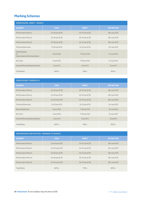# **Marking Schemes**

| <b>GRADE EXAMS: DEBUT - GRADE 5</b>                          |                   |                     |                    |  |  |
|--------------------------------------------------------------|-------------------|---------------------|--------------------|--|--|
| <b>ELEMENT</b>                                               | <b>PASS</b>       | <b>MERIT</b>        | <b>DISTINCTION</b> |  |  |
| Performance Piece 1                                          | 12-14 out of 20   | 15-17 out of 20     | $18+$ out of 20    |  |  |
| Performance Piece 2                                          | $12-14$ out of 20 | 15-17 out of 20     | $18+$ out of 20    |  |  |
| Performance Piece 3                                          | 12-14 out of 20   | 15-17 out of 20     | $18+$ out of 20    |  |  |
| <b>Technical Exercises</b>                                   | 9-10 out of 15    | 11-12 out of 15     | $13+$ out of $15$  |  |  |
| Sight Reading<br><b>or</b><br>Improvisation & Interpretation | 6 out of 10       | $7 - 8$ out of $10$ | $9+$ out of $10$   |  |  |
| Ear Tests                                                    | 6 out of 10       | 7-8 out of 10       | $9+$ out of $10$   |  |  |
| <b>General Musicianship Questions</b>                        | 3 out of 5        | 4 out of 5          | 5 out of 5         |  |  |
| <b>Total Marks</b>                                           | $60%+$            | $74%+$              | $90%+$             |  |  |

| <b>GRADE EXAMS: GRADES 6-8</b>        |                     |                     |                    |  |  |
|---------------------------------------|---------------------|---------------------|--------------------|--|--|
| <b>ELEMENT</b>                        | <b>PASS</b>         | <b>MERIT</b>        | <b>DISTINCTION</b> |  |  |
| Performance Piece 1                   | 12-14 out of 20     | 15-17 out of 20     | $18+$ out of 20    |  |  |
| Performance Piece 2                   | $12 - 14$ out of 20 | 15-17 out of 20     | $18+$ out of 20    |  |  |
| Performance Piece 3                   | $12-14$ out of 20   | 15-17 out of 20     | $18+$ out of 20    |  |  |
| <b>Technical Exercises</b>            | 9-10 out of 15      | 11-12 out of 15     | $13+$ out of $15$  |  |  |
| <b>Quick Study Piece</b>              | 6 out of 10         | $7 - 8$ out of $10$ | $9+$ out of $10$   |  |  |
| Ear Tests                             | $6$ out of $10$     | $7 - 8$ out of $10$ | $9 + out of 10$    |  |  |
| <b>General Musicianship Questions</b> | 3 out of 5          | 4 out of 5          | 5 out of 5         |  |  |
| <b>Total Marks</b>                    | $60%+$              | $74%+$              | $90%+$             |  |  |

| <b>PERFORMANCE CERTIFICATES: PREMIERE TO GRADE 8</b> |                     |                   |                    |  |  |
|------------------------------------------------------|---------------------|-------------------|--------------------|--|--|
| <b>ELEMENT</b>                                       | <b>PASS</b>         | <b>MERIT</b>      | <b>DISTINCTION</b> |  |  |
| Performance Piece 1                                  | $12-14$ out of 20   | $15-17$ out of 20 | $18 +$ out of 20   |  |  |
| Performance Piece 2                                  | $12 - 14$ out of 20 | $15-17$ out of 20 | $18+$ out of 20    |  |  |
| Performance Piece 3                                  | $12-14$ out of 20   | 15-17 out of 20   | $18 +$ out of 20   |  |  |
| Performance Piece 4                                  | $12 - 14$ out of 20 | $15-17$ out of 20 | $18 +$ out of 20   |  |  |
| Performance Piece 5                                  | 12-14 out of 20     | $15-17$ out of 20 | $18+$ out of 20    |  |  |
| <b>Total Marks</b>                                   | $60%+$              | $75%+$            | $90%+$             |  |  |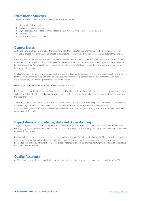## **Examination Structure**

The examination structure for the grade examinations is shown below:

- **1.** Pieces or technical exercises
- **2.** Technical exercises or pieces
- **3.** Sight Reading or Improvisation & Interpretation (Debut Grade 5); Quick Study Piece (Grades 6–8)
- **4.** Ear Tests
- **5.** General Musicianship Questions

## **General Notes**

At the beginning of a Grade Examination, the Examiner will ask the candidate if they wish to begin with Performance Pieces or Technical Exercises. In a Performance Certificate, candidates may present their Performance Pieces in any order of their choice.

Prior to the start of the Performance Pieces, the Examiner will conduct a sound check by asking the candidate to play the first few bars of the first chosen piece. This will set the levels for the exam and will take place alongside the backing track. Once the level has been established, the Examiner will then commence with the first piece in full. Note: the sound check is undertaken for the first Performance Piece only.

Candidates may perform any or all of their pieces from memory. This is not compulsory at any level and no additional marks are given for this. With the exception of certain Technical Exercises where memory requirements apply, it is permitted to use grade books which contain notes made during the course of a candidate's study.

**Note:** It is not permitted to make any notes at any time during the exam.

For General Musicianship Questions, the Examiner may use his or her version of the selected piece as the basis to ask the questions if such notes contained on the candidate's version are deemed sufficiently extensive or might assist the candidate when answering the questions.

The Examiner will not facilitate page turning for candidates. Candidates are allowed to photocopy relevant sheet music as necessary to alleviate page turns but all copied materials must be handed into the Examiner at the end of the examination. All tempo markings are to be observed unless otherwise stated. Each piece is designed carefully to achieve a number of outcomes appropriate for the grade.

## **Expectations of Knowledge, Skills and Understanding**

The graded examination system is one based on the principle of 'progressive mastery': each step in the exam chain demonstrates learning, progression and skills in incremental steps. Successful learning is characterised by a mastery of the fundamentals of the skills demanded in each grade.

Learners will be able to complete a set of practical tasks and be tested on their underpinning knowledge (the complexity and variety of tasks are determined by which qualification is being attempted). This allows them to demonstrate popular music performance knowledge, skills and understanding relevant to the grade. These technical skills set a firm platform for further technical and creative development by the learner.

## **Quality Assurance**

All RSL examinations and graded qualifications are standardised according to the processes and procedures laid down by RSL.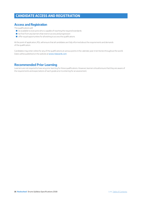# **CANDIDATE ACCESS AND REGISTRATION**

## **Access and Registration**

The qualifications will:

- $\Box$  be available to everyone who is capable of reaching the required standards
- $\blacksquare$  be free from any barriers that restrict access and progression
- $\blacksquare$  offer equal opportunities for all wishing to access the qualifications

At the point of application, RSL will ensure that all candidates are fully informed about the requirements and demands of the qualification.

Candidates may enter online for any of the qualifications at various points in the calendar year in territories throughout the world. Dates will be published on the website at www.rslawards.com

## **Recommended Prior Learning**

Learners are not required to have any prior learning for these qualifications. However, learners should ensure that they are aware of the requirements and expectations of each grade prior to entering for an assessment.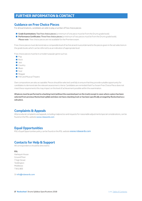# **FURTHER INFORMATION & CONTACT**

## **Guidance on Free Choice Pieces**

For all examinations, candidates are able to play a number of free choice pieces:

**Grade Examinations: Two free choice pieces** (a minimum of one piece must be from the Drums grade book)

Q **Performance Certificates:** Three free choice pieces (a minimum of two pieces must be from the Drums grade book). *Please note:* free choice pieces are not available for the Premiere exam.

Free choice pieces must demonstrate a comparable level of technical and musical demand to the pieces given in the set selections in the grade books which can be referred to as an indication of appropriate level.

Free choice pieces must be in a modern popular genre such as:

- $\Box$  Pop
- Rock
- **Q** Jazz
- **Country**
- **Blues**
- $\Box$  Soul
- $\blacksquare$  Reggae
- **D** Film and Musical Theatre

Own compositions are also acceptable. Pieces should be selected carefully to ensure that they provide suitable opportunity for candidates to demonstrate the relevant assessment criteria. Candidates are reminded that if a chosen Free Choice Piece does not meet these requirements this may impact on the level of achievement possible within the examination.

**All pieces must be performed to a backing track (without the examined part on the track) except in cases where a piece has been selected from previous Rockschool syllabi and does not have a backing track or has been specifically arranged by Rockschool as a solo piece.**

## **Complaints & Appeals**

All procedural complaints and appeals, including malpractice and requests for reasonable adjustments/special considerations, can be found on the RSL website www.rslawards.com

## **Equal Opportunities**

RSL's Equal Opportunities policy can be found on the RSL website www.rslawards.com

## **Contacts for Help & Support**

All correspondence should be directed to:

**RSL**

Harlequin House Ground Floor 7 High Street **Teddinaton** Middlesex TW11 8EE

Or info@rslawards.com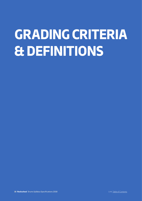# **GRADING CRITERIA & DEFINITIONS**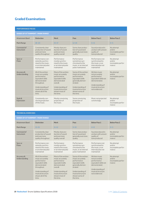# **Graded Examinations**

| <b>PERFORMANCE PIECES</b>               |                                                                                                                                                                                  |                                                                                                                                                                                 |                                                                                                                                                                                     |                                                                                                                                                      |                                                     |  |
|-----------------------------------------|----------------------------------------------------------------------------------------------------------------------------------------------------------------------------------|---------------------------------------------------------------------------------------------------------------------------------------------------------------------------------|-------------------------------------------------------------------------------------------------------------------------------------------------------------------------------------|------------------------------------------------------------------------------------------------------------------------------------------------------|-----------------------------------------------------|--|
| <b>BANDS OF ATTAINMENT / MARK RANGE</b> |                                                                                                                                                                                  |                                                                                                                                                                                 |                                                                                                                                                                                     |                                                                                                                                                      |                                                     |  |
| <b>Attainment Band</b>                  | <b>Distinction</b>                                                                                                                                                               | Merit                                                                                                                                                                           | <b>Pass</b>                                                                                                                                                                         | <b>Below Pass 1</b>                                                                                                                                  | <b>Below Pass 2</b>                                 |  |
| Mark Range                              | $18 - 20$                                                                                                                                                                        | $15 - 17$                                                                                                                                                                       | $12 - 14$                                                                                                                                                                           | $6 - 11$                                                                                                                                             | $0 - 5$                                             |  |
| Command of<br>Instrument                | Consistently clear<br>production of sound<br>and even tone<br>quality throughout                                                                                                 | Mostly clear pro-<br>duction of sound<br>and even tone<br>quality overall                                                                                                       | Some clear produc-<br>tion of sound and<br>generally even tone<br>quality                                                                                                           | Sound produced is<br>unclear with uneven<br>quality of<br>tone produced                                                                              | No attempt<br>and/or<br>incomplete perfor-<br>mance |  |
| Sync or<br>Pulse                        | Performance con-<br>sistently synchro-<br>nised to the music,<br>or an internal pulse<br>maintained                                                                              | Performance<br>mostly synchro-<br>nised to the music,<br>or an internal pulse<br>maintained                                                                                     | Performance<br>sometimes syn-<br>chronised to the<br>music, or an internal<br>pulse maintained                                                                                      | Performance not<br>synchronised to<br>the music, or an<br>internal pulse not<br>maintained                                                           | No attempt<br>and/or<br>incomplete perfor-<br>mance |  |
| Accuracy &<br>Understanding             | All of the written<br>music accurately<br>performed or<br>equivalent skills<br>demonstrated<br>throughout.<br>Understanding of<br>musical structure<br>shown all of the<br>time. | Most of the written<br>music accurately<br>performed or<br>equivalent skills<br>demonstrated<br>overall.<br>Understanding of<br>musical structure<br>shown most of<br>the time. | Some of the written<br>music accurately<br>performed or<br>equivalent skills<br>qenerally demon-<br>strated.<br>Understanding of<br>musical structure<br>shown some of<br>the time. | Written music<br>not accurately<br>performed or<br>equivalent skills not<br>demonstrated.<br>Understanding of<br>musical structure<br>not evidenced. | No attempt<br>and/or<br>incomplete perfor-<br>mance |  |
| Style &<br>Expression                   | Consistently con-<br>vincing projection<br>of the music                                                                                                                          | Mostly convincing<br>projection of<br>the music                                                                                                                                 | Some convincing<br>projection of<br>the music                                                                                                                                       | Music not projected<br>convincingly                                                                                                                  | No attempt<br>and/or<br>incomplete perfor-<br>mance |  |

#### **TECHNICAL EXERCISES**

#### **BANDS OF ATTAINMENT / MARK RANGE**

| <b>Attainment Band</b>      | <b>Distinction</b>                                                                                                                                                               | <b>Merit</b>                                                                                                                                                                    | Pass                                                                                                                                                                                | <b>Below Pass 1</b>                                                                                                                                  | <b>Below Pass 2</b>                                 |
|-----------------------------|----------------------------------------------------------------------------------------------------------------------------------------------------------------------------------|---------------------------------------------------------------------------------------------------------------------------------------------------------------------------------|-------------------------------------------------------------------------------------------------------------------------------------------------------------------------------------|------------------------------------------------------------------------------------------------------------------------------------------------------|-----------------------------------------------------|
| Mark Range                  | $13 - 15$                                                                                                                                                                        | $11 - 12$                                                                                                                                                                       | $9 - 10$                                                                                                                                                                            | $4 - 8$                                                                                                                                              | $0 - 3$                                             |
| Command of<br>Instrument    | Consistently clear<br>production of sound<br>and even tone<br>quality throughout                                                                                                 | Mostly clear pro-<br>duction of sound<br>and even tone<br>quality overall                                                                                                       | Some clear produc-<br>tion of sound and<br>generally even tone<br>quality                                                                                                           | Sound produced is<br>unclear with uneven<br>quality of<br>tone produced                                                                              | No attempt<br>and/or<br>incomplete perfor-<br>mance |
| Sync or<br>Pulse            | Performance con-<br>sistently synchro-<br>nised to the music,<br>or an internal pulse<br>maintained                                                                              | Performance<br>mostly synchro-<br>nised to the music.<br>or an internal pulse<br>maintained                                                                                     | Performance<br>sometimes syn-<br>chronised to the<br>music, or an internal<br>pulse maintained                                                                                      | Performance not<br>synchronised to<br>the music, or an<br>internal pulse not<br>maintained                                                           | No attempt<br>and/or<br>incomplete perfor-<br>mance |
| Accuracy &<br>Understanding | All of the written<br>music accurately<br>performed or<br>equivalent skills<br>demonstrated<br>throughout.<br>Understanding of<br>musical structure<br>shown all of the<br>time. | Most of the written<br>music accurately<br>performed or<br>equivalent skills<br>demonstrated<br>overall.<br>Understanding of<br>musical structure<br>shown most of<br>the time. | Some of the written<br>music accurately<br>performed or<br>equivalent skills<br>qenerally demon-<br>strated.<br>Understanding of<br>musical structure<br>shown some of<br>the time. | Written music<br>not accurately<br>performed or<br>equivalent skills not<br>demonstrated.<br>Understanding of<br>musical structure<br>not evidenced. | No attempt<br>and/or<br>incomplete perfor-<br>mance |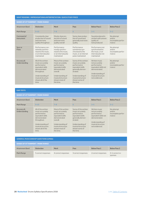#### **SIGHT READING / IMPROVISATION & INTERPRETATION / QUICK STUDY PIECE**

### **BANDS OF ATTAINMENT / MARK RANGE**

| -74111-20 - 91 - 81 - 8418 81418 814 814 814 814 814 82 8 |                                                                                                                                                                                  |                                                                                                                                                                                 |                                                                                                                                                                                     |                                                                                                                                                      |                                                     |
|-----------------------------------------------------------|----------------------------------------------------------------------------------------------------------------------------------------------------------------------------------|---------------------------------------------------------------------------------------------------------------------------------------------------------------------------------|-------------------------------------------------------------------------------------------------------------------------------------------------------------------------------------|------------------------------------------------------------------------------------------------------------------------------------------------------|-----------------------------------------------------|
| <b>Attainment Band</b>                                    | <b>Distinction</b>                                                                                                                                                               | <b>Merit</b>                                                                                                                                                                    | Pass                                                                                                                                                                                | <b>Below Pass 1</b>                                                                                                                                  | <b>Below Pass 2</b>                                 |
| Mark Range                                                | $9 - 10$                                                                                                                                                                         | $7 - 8$                                                                                                                                                                         | 6                                                                                                                                                                                   | $3 - 5$                                                                                                                                              | $0 - 2$                                             |
| Command of<br>Instrument                                  | Consistently clear<br>production of sound<br>and even tone<br>quality throughout                                                                                                 | Mostly clear pro-<br>duction of sound<br>and even tone<br>quality overall                                                                                                       | Some clear produc-<br>tion of sound and<br>generally even tone<br>quality                                                                                                           | Sound produced is<br>unclear with uneven<br>quality of<br>tone produced                                                                              | No attempt<br>and/or<br>incomplete perfor-<br>mance |
| Sync or<br>Pulse                                          | Performance con-<br>sistently synchro-<br>nised to the music,<br>or an internal pulse<br>maintained                                                                              | Performance<br>mostly synchro-<br>nised to the music.<br>or an internal pulse<br>maintained                                                                                     | Performance<br>sometimes syn-<br>chronised to the<br>music, or an internal<br>pulse maintained                                                                                      | Performance not<br>synchronised to<br>the music, or an<br>internal pulse not<br>maintained                                                           | No attempt<br>and/or<br>incomplete perfor-<br>mance |
| Accuracy &<br>Understanding                               | All of the written<br>music accurately<br>performed or<br>equivalent skills<br>demonstrated<br>throughout.<br>Understanding of<br>musical structure<br>shown all of the<br>time. | Most of the written<br>music accurately<br>performed or<br>equivalent skills<br>demonstrated<br>overall.<br>Understanding of<br>musical structure<br>shown most of<br>the time. | Some of the written<br>music accurately<br>performed or<br>equivalent skills<br>qenerally demon-<br>strated.<br>Understanding of<br>musical structure<br>shown some of<br>the time. | Written music<br>not accurately<br>performed or<br>equivalent skills not<br>demonstrated.<br>Understanding of<br>musical structure<br>not evidenced. | No attempt<br>and/or<br>incomplete perfor-<br>mance |

**EAR TESTS**

| EAR 1 EJ 1 J                            |                                                                                                                                                                                  |                                                                                                                                                                                 |                                                                                                                                                                                     |                                                                                                                                                      |                                                     |  |
|-----------------------------------------|----------------------------------------------------------------------------------------------------------------------------------------------------------------------------------|---------------------------------------------------------------------------------------------------------------------------------------------------------------------------------|-------------------------------------------------------------------------------------------------------------------------------------------------------------------------------------|------------------------------------------------------------------------------------------------------------------------------------------------------|-----------------------------------------------------|--|
| <b>BANDS OF ATTAINMENT / MARK RANGE</b> |                                                                                                                                                                                  |                                                                                                                                                                                 |                                                                                                                                                                                     |                                                                                                                                                      |                                                     |  |
| <b>Attainment Band</b>                  | <b>Distinction</b>                                                                                                                                                               | <b>Merit</b>                                                                                                                                                                    | Pass                                                                                                                                                                                | <b>Below Pass 1</b>                                                                                                                                  | <b>Below Pass 2</b>                                 |  |
| Mark Range                              | $9 - 10$                                                                                                                                                                         | $7 - 8$                                                                                                                                                                         | 6                                                                                                                                                                                   | $3 - 5$                                                                                                                                              | $0 - 2$                                             |  |
| Accuracy &<br>Understanding             | All of the written<br>music accurately<br>performed or<br>equivalent skills<br>demonstrated<br>throughout.<br>Understanding of<br>musical structure<br>shown all of the<br>time. | Most of the written<br>music accurately<br>performed or<br>equivalent skills<br>demonstrated<br>overall.<br>Understanding of<br>musical structure<br>shown most of<br>the time. | Some of the written<br>music accurately<br>performed or<br>equivalent skills<br>qenerally demon-<br>strated.<br>Understanding of<br>musical structure<br>shown some of<br>the time. | Written music<br>not accurately<br>performed or<br>equivalent skills not<br>demonstrated.<br>Understanding of<br>musical structure<br>not evidenced. | No attempt<br>and/or<br>incomplete perfor-<br>mance |  |

| <b>GENERAL MUSICIANSHIP QUESTIONS (GMQS)</b> |                     |                     |                     |                     |                              |
|----------------------------------------------|---------------------|---------------------|---------------------|---------------------|------------------------------|
| <b>BANDS OF ATTAINMENT / MARK RANGE</b>      |                     |                     |                     |                     |                              |
| <b>Attainment Band</b>                       | <b>Distinction</b>  | <b>Merit</b>        | Pass                | <b>Below Pass 1</b> | <b>Below Pass 2</b>          |
| Mark Range                                   | 5 correct responses | 4 correct responses | 3 correct responses | 2 correct responses | $0-1$ correct re-<br>sponses |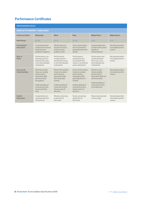# **Performance Certificates**

| <b>PERFORMANCE PIECES</b>               |                                                                                                                                                                                  |                                                                                                                                                                                 |                                                                                                                                                                                     |                                                                                                                                                      |                                                  |
|-----------------------------------------|----------------------------------------------------------------------------------------------------------------------------------------------------------------------------------|---------------------------------------------------------------------------------------------------------------------------------------------------------------------------------|-------------------------------------------------------------------------------------------------------------------------------------------------------------------------------------|------------------------------------------------------------------------------------------------------------------------------------------------------|--------------------------------------------------|
| <b>BANDS OF ATTAINMENT / MARK RANGE</b> |                                                                                                                                                                                  |                                                                                                                                                                                 |                                                                                                                                                                                     |                                                                                                                                                      |                                                  |
| <b>Attainment Band</b>                  | <b>Distinction</b>                                                                                                                                                               | <b>Merit</b>                                                                                                                                                                    | Pass                                                                                                                                                                                | <b>Below Pass 1</b>                                                                                                                                  | <b>Below Pass 2</b>                              |
| Mark Range                              | $18 - 20$                                                                                                                                                                        | $15 - 17$                                                                                                                                                                       | $12 - 14$                                                                                                                                                                           | $6 - 11$                                                                                                                                             | $O - 5$                                          |
| Command of<br>Instrument                | Consistently clear<br>production of sound<br>and even tone<br>quality throughout                                                                                                 | Mostly clear pro-<br>duction of sound<br>and even tone<br>quality overall                                                                                                       | Some clear produc-<br>tion of sound and<br>generally even tone<br>quality                                                                                                           | Sound produced is<br>unclear with uneven<br>quality of<br>tone produced                                                                              | No attempt and/or<br>incomplete perfor-<br>mance |
| Sync or<br>Pulse                        | Performance con-<br>sistently synchro-<br>nised to the music.<br>or an internal pulse<br>maintained                                                                              | Performance<br>mostly synchro-<br>nised to the music,<br>or an internal pulse<br>maintained                                                                                     | Performance<br>sometimes syn-<br>chronised to the<br>music, or an internal<br>pulse maintained                                                                                      | Performance not<br>synchronised to<br>the music, or an<br>internal pulse not<br>maintained                                                           | No attempt and/or<br>incomplete perfor-<br>mance |
| Accuracy &<br>Understanding             | All of the written<br>music accurately<br>performed or<br>equivalent skills<br>demonstrated<br>throughout.<br>Understanding of<br>musical structure<br>shown all of the<br>time. | Most of the written<br>music accurately<br>performed or<br>equivalent skills<br>demonstrated<br>overall.<br>Understanding of<br>musical structure<br>shown most of<br>the time. | Some of the written<br>music accurately<br>performed or<br>equivalent skills<br>generally demon-<br>strated.<br>Understanding of<br>musical structure<br>shown some of<br>the time. | Written music<br>not accurately<br>performed or<br>equivalent skills not<br>demonstrated.<br>Understanding of<br>musical structure<br>not evidenced. | No attempt and/or<br>incomplete perfor-<br>mance |
| Style &<br>Expression                   | Consistently con-<br>vincing projection<br>of the music.                                                                                                                         | Mostly convincing<br>projection of<br>the music.                                                                                                                                | Some convincing<br>projection of<br>the music.                                                                                                                                      | Music not projected<br>convincingly                                                                                                                  | No attempt and/or<br>incomplete perfor-<br>mance |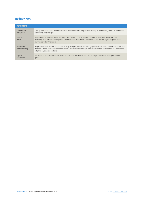# **Definitions**

| <b>DEFINITIONS</b>          |                                                                                                                                                                                                                                                                                     |
|-----------------------------|-------------------------------------------------------------------------------------------------------------------------------------------------------------------------------------------------------------------------------------------------------------------------------------|
| Command of<br>Instrument    | The quality of the sound produced from the instrument, including the consistency of sound/tone, control of sound/tone<br>commensurate with grade.                                                                                                                                   |
| Sync or<br>Pulse            | Alignment of the performance to backing track, metronome or applied to a solo performance, observing notation<br>markings. For unaccompanied pieces candidates should maintain a secure internal pulse and adjust the pulse where<br>instructed within the music.                   |
| Accuracy &<br>Understanding | Representing the written notation accurately, except by instruction through performance notes, or interpreting the writ-<br>ten part with equivalent skills demonstrated. Secure understanding of musical structure evidenced through transitions<br>of phrases, bars and sections. |
| Style &<br>Expression       | An expressive and commanding performance of the notated material dictated by the demands of the performance<br>piece.                                                                                                                                                               |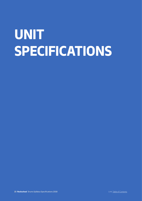# **UNIT SPECIFICATIONS**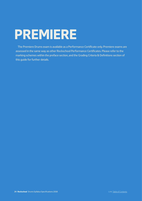# **PREMIERE**

The Premiere Drums exam is available as a Performance Certificate only. Premiere exams are assessed in the same way as other Rockschool Performance Certificates. Please refer to the marking schemes within the preface section, and the Grading Criteria & Definitions section of this guide for further details.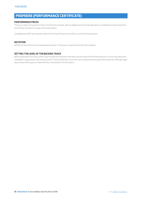# **PREMIERE (PERFORMANCE CERTIFICATE)**

#### **PERFORMANCE PIECES**

There is a choice of six pieces in the Let's Rock Drums book, with an additional three ensemble pieces. Candidates should choose five out of these nine pieces to play in the examination.

Candidates are NOT permitted to submit Free Choice Pieces for the Entry Level 2 (Premiere) exam.

#### **NOTATION**

All Performance Pieces are to be played as written. There are no requirements for improvisation.

#### **SETTING THE LEVEL OF THE BACKING TRACK**

Before playing the first piece all the way through the examiner will make sure the volume of the backing track is correct by asking the candidate to play along to the backing track for the first few bars. Once the correct level has been agreed the examiner will begin again and conduct all five pieces. Note that this is only done for the first piece.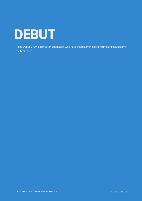

The Debut Drum exam is for candidates who have been learning a short time and have learnt the basic skills.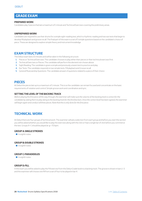# **GRADE EXAM**

#### **PREPARED WORK**

Candidates play 3 pieces that last a maximum of 1 minute and Technical Exercises covering the preliminary areas.

#### **UNPREPARED WORK**

Candidates are required to use their drums for a simple sight-reading test, which is rhythmic reading and two ear tests that begin to develop fill playback and groove recall. The final part of the exam is a set of 5 simple questions based on the candidate's choice of piece. These are designed to explore simple theory and instrument knowledge

## **EXAM STRUCTURE**

The Debut exam lasts 15 minutes and will be taken in the following structure:

- **1.** Pieces or Technical Exercises: The candidate chooses to play either their pieces or their technical exercises first.
- **2.** Technical Exercises or Pieces: The candidate will perform the element not chosen above
- **3.** Sight Reading: The candidate is given a simple and previously unseen test to practice and play
- **4.** Ear Tests: The candidate responds to two simple tests. Fill playback and Groove recall
- **5.** General Musicianship Questions: The candidate answers 4 questions related to a piece of their choice

### **PIECES**

At Debut the pieces last up to a maximum of 1 minute. This is so the candidate can remain focused and concentrate on the basic requirements of notation and control. Simple groove work and coordination and sync.

#### **SETTING THE LEVEL OF THE BACKING TRACK**

*Before playing the first piece all the way through, the examiner will make sure the volume of the backing track is correct for the candidate by asking them to play along to the backing track for the first few bars. Once the correct level has been agreed, the examiner will begin again and conduct all three pieces. Note that this is only done for the first piece.* 

## **TECHNICAL WORK**

At Debut there are four groups of technical work. The examiner will ask a selection from each group and before you start the section you will be asked whether you would like to play the exercises along with the click or hear a single bar of click before you commence the test. Groups A–C should be played at  $q = 70$  bpm.

#### **GROUP A: SINGLE STROKES**

 $\blacksquare$  In eighth notes

#### **GROUP B: DOUBLE STROKES**

 $\blacksquare$  In eighth notes

#### **GROUP C: PARADIDDLES**

 $\blacksquare$  In eighth notes

#### **GROUP D: FILL**

In the exam you will be asked to play the Fill exercise from the Debut Grade book to a backing track. The groove is shown in bars 1–3 and the examiner will choose one fill from a set of four to be played in bar 4.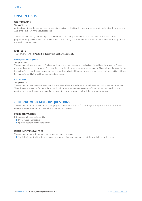# **UNSEEN TESTS**

#### **SIGHT READING**

#### **Tempo:** 80 bpm

At Debut you will be offered a previously unseen sight reading test that is in the form of a four bar rhythm played on the snare drum. An example is shown in the Debut grade book.

The test is four bars long and made up of half and quarter notes and quarter note rests. The examiner will allow 90 seconds preparation and practice time and will offer the option of practising with or without a metronome. The candidate will then perform the test for the examination.

#### **EAR TESTS**

There are two tests: **Fill Playback & Recognition, and Rhythmic Recall.**

#### **Fill Playback & Recognition**

#### **Tempo:** 70bpm

The examiner will play you a one bar fill played on the snare drum with a metronome backing. You will hear the test twice. The test is made up of quarter and eighth notes. Each time the test is played it is preceded by a one bar count-in. There will be a short gap for you to practise. Next you will hear a vocal count-in and you will then play the fill back with the metronome backing. The candidate will then be required to identify the test from two printed examples.

#### **Groove Recall**

**Tempo:** 80 bpm

The examiner will play you a two bar groove that is repeated played on the hi hat, snare and bass drum with a metronome backing. You will hear the test twice. Each time the test is played it is preceded by a one bar count-in. There will be a short gap for you to practise. Next you will hear a vocal count-in and you will then play the groove back with the metronome backing.

## **GENERAL MUSICIANSHIP QUESTIONS**

The examiner will ask you four music knowledge questions based on a piece of music that you have played in the exam. You will nominate the piece of music about which the questions will be asked.

#### **MUSIC KNOWLEDGE:**

In Debut you will be asked to identify:

- $\blacksquare$  Drum voices on the stave
- $\Box$  Quarter-note and eighth-note values

#### **INSTRUMENT KNOWLEDGE:**

The examiner will also ask you one question regarding your instrument:

Q The following parts of the drum kit; snare, high tom, medium tom, floor tom, hi-hat, ride cymbal and crash cymbal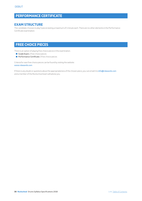# **PERFORMANCE CERTIFICATE**

## **EXAM STRUCTURE**

The candidate chooses to play 5 pieces lasting a maximum of 1 minute each. There are no other elements in the Performance Certificate examination.

# **FREE CHOICE PIECES**

There is an option of playing free choice pieces in the examination.

- Grade Exam: 2 free choice pieces
- **Performance Certificate:** 3 free choice pieces

Criteria for own free choice pieces can be found by visiting the website: www.rslawards.com

If there is any doubt or questions about the appropriateness of the chosen piece, you can email it to info@rslawards.com and a member of the Rockschool team will advise you.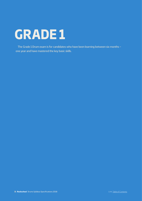# **GRADE 1**

The Grade 1 Drum exam is for candidates who have been learning between six months – one year and have mastered the key basic skills.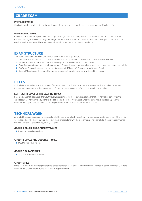# **GRADE EXAM**

#### **PREPARED WORK**

Candidates perform 3 pieces that last a maximum of 1 minute 15 seconds and demonstrate a selection of Technical Exercises

#### **UNPREPARED WORK:**

Candidates are required to play either a 4-bar sight reading test, or a 4-bar Improvisation and Interpretation test. There are also two ear tests that begin to develop fill playback and groove recall. The final part of the exam is a set of 5 simple questions based on the candidate's choice of piece. These are designed to explore theory and instrument knowledge.

## **EXAM STRUCTURE**

The Grade 1 exam lasts 20 minutes and will be taken in the following structure:

- **1.** Pieces or Technical Exercises: The candidate chooses to play either their pieces or their technical exercises first
- **2.** Technical Exercises or Pieces: The candidate will perform the element not chosen above
- **3.** Sight Reading or Improvisation and Interpretation: The candidate is given a simple and previously unseen test to practice and play
- **4.** Ear Tests: The candidate responds to two simple tests. Fill Playback & Recognition and Groove Recall
- **5.** General Musicianship Questions: The candidate answers 5 questions related to a piece of their choice

### **PIECES**

At Grade 1 the pieces last up to a maximum of 1 minute 15 seconds. The length of piece is designed so the candidate can remain focused and concentrate on the requirements of notation, values, evenness of sound, technical control and sync.

#### **SETTING THE LEVEL OF THE BACKING TRACK**

Before playing the first piece all the way through, the examiner will make sure the volume of the backing track is correct for the candidate by asking them to play along to the backing track for the first few bars. Once the correct level has been agreed, the examiner will begin again and conduct all three pieces. Note that this is only done for the first piece.

### **TECHNICAL WORK**

At Grade 1 there are four groups of technical work. The examiner will ask a selection from each group and before you start the section you will be asked whether you would like to play the exercises along with the click or hear a single bar of click before you commence the test. Groups A–C should be played at  $q = 70$ bpm

#### **GROUP A: SINGLE AND DOUBLE STROKES**

 $\blacksquare$  In eighth notes alternate bars

#### **GROUP B: SINGLE AND DOUBLE STROKES**

 $\blacksquare$  In 16th notes alternate bars

#### **GROUP C: PARADIDDLES**

**Q** Single paradiddle in 16th notes

#### **GROUP D: FILL**

In the exam you will be asked to play the Fill exercise from the Grade 1 book to a backing track. The groove is shown in bars 1–3 and the examiner will choose one fill from a set of four to be played in bar 4.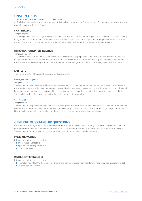## **UNSEEN TESTS**

#### SIGHT READING OR IMPROVISATION & INTERPRETATION

At Grade 1 you will be offered the choice between Sight Reading or Improvisation & Interpretation. This is a previously unseen test. An example is shown in the Grade 1 book.

#### **SIGHT READING**

#### **Tempo:** 80 bpm

At Grade 1 you will be offered a Sight Reading test thatis in the form of a four bar rhythm played on the snaredrum. The test is made up of eighth and quarter notes, and quarter note rests. The examiner will allow 90 seconds preparation and practice time and will offer the option of practising with or without a metronome. The candidate will then perform the test for the examination.

#### **IMPROVISATION & INTERPRETATION**

#### **Tempo:** 70–80 bpm

At Grade 1 the test is four bars long and the candidate will have 30 seconds preparation time. The test is in the form of a notated one bar groove that should be developed and a one bar fill. The examiner will offer the metronome as a guide throughout this time. The candidate will then have a complete practice run through with the backing track and then on the repeat, the test will be examined.

#### **EAR TESTS**

There are two tests: Fill Playback & recognition and Groove recall.

#### **Fill Playback & Recognition**

#### **Tempo:** 70 bpm

The examiner will play you a one bar fill played on the snare drum with a metronome backing. You will hear the test twice. The test is made up of quarter and eighth notes and quarter note rests. Each time the test is played it is preceded by a one bar count-in. There will be a short gap for you to practise. Next you will hear a vocal count-in and you will then play the fill back with the metronome backing. The candidate will then be required to identify the test from two printed examples.

#### **Groove Recall**

#### **Tempo:** 80 bpm

The examiner will play you a two bar groove that is repeated played on the hi hat, snare and bass drum with a metronome backing. You will hear the test twice. Each time the test is played it is preceded by a one bar count-in. There will be a short gap for you to practise. Next you will hear a vocal count-in and you will then play the groove back with the metronome backing.

## **GENERAL MUSICIANSHIP QUESTIONS**

In this part of the exam you will be asked five questions. Four of these questions will be about general music knowledge and the fifth question will be asked about your instrument. For this section of the exam the candidate chooses the piece to answer 5 questions on. The examiner will ask you four music knowledge questions and one instrument knowledge question.

#### **MUSIC KNOWLEDGE**

In Grade 1 you will be asked to identify:

- $\Box$  Drum voices on the stave
- $\Box$  Quarter note and eighth note values
- $\blacksquare$  A rest in the piece

#### **INSTRUMENT KNOWLEDGE**

In Grade 1 you will be asked to identify:

- The following parts of the drum kit bass drum, snare, high tom, medium tom, floor tom, hi-hat, ride cymbal and crash cymbal
- $\blacksquare$  Two main drum kit makes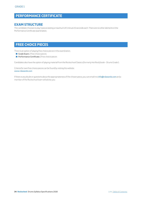# **PERFORMANCE CERTIFICATE**

## **EXAM STRUCTURE**

The candidate chooses to play 5 pieces lasting a maximum of 1 minute 15 seconds each. There are no other elements in the Performance Certificate examination.

# **FREE CHOICE PIECES**

There is an option of playing free choice pieces in the examination.

- Grade Exam: 2 free choice pieces
- **Performance Certificate:** 3 free choice pieces

Candidates also have the option of playing material from the Rockschool Classics (formerly Hot Rock) book – Drums Grade 1.

Criteria for own free choice pieces can be found by visiting the website: www.rslawards.com

If there is any doubt or questions about the appropriateness of the chosen piece, you can email it to info@rslawards.com and a member of the Rockschool team will advise you.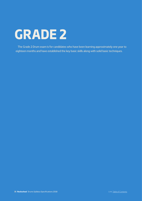# **GRADE 2**

The Grade 2 Drum exam is for candidates who have been learning approximately one year to eighteen months and have established the key basic skills along with solid basic techniques.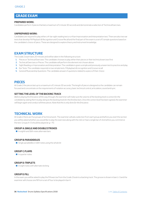# **GRADE EXAM**

#### **PREPARED WORK:**

Candidates perform 3 pieces that last a maximum of 1 minute 30 seconds and demonstrate a selection of Technical Exercises.

#### **UNPREPARED WORK:**

Candidates are required to play either a 4-bar sight reading test or a 4 bar Improvisation and Interpretation test. There are also two ear tests that develop Fill Playback & Recognition and Groove Recall and the final part of the exam is a set of 5 simple questions based on the candidate's choice of piece. These are designed to explore theory and instrument knowledge.

## **EXAM STRUCTURE**

The Grade 2 exam lasts 20 minutes and will be taken in the following structure:

- **1.** Pieces or Technical Exercises: The candidate chooses to play either their pieces or their technical exercises first
- **2.** Technical Exercises or Pieces: The candidate will perform the element not chosen above
- **3.** Sight Reading or Improvisation and Interpretation: The candidate is given a simple and previously unseen test to practice and play
- **4.** Ear Tests: The candidate responds to two simple tests. Fill playback & recognition and Groove recall
- **5.** General Musicianship Questions: The candidate answers 5 questions related to a piece of their choice

## **PIECES**

At Grade 2 the pieces last up to a maximum of 1 minute 30 seconds. The length of piece is designed so the candidate can remain focused and concentrate on the requirements of notation accuracy, basic technical control, articulation, sound and sync.

#### **SETTING THE LEVEL OF THE BACKING TRACK**

*Before playing the first piece all the way through, the examiner will make sure the volume of the backing track is correct for the candidate by asking them to play along to the backing track for the first few bars. Once the correct level has been agreed, the examiner will begin again and conduct all three pieces. Note that this is only done for the first piece.* 

### **TECHNICAL WORK**

At Grade 2 there are five groups of technical work. The examiner will ask a selection from each group and before you start the section you will be asked whether you would like to play the exercises along with the click or hear a single bar of click before you commence the test. Groups A–D should be played at  $q = 70$ .

#### **GROUP A: SINGLE AND DOUBLE STROKES**

■ In eighth and 16th notes alternate bars

#### **GROUP B: PARADIDDLES**

 $\blacksquare$  Single paradiddles in 16th notes using the whole kit

#### **GROUP C: FLAMS**

**D** In quarter notes

#### **GROUP D: TRIPLETS**

 $\blacksquare$  In eight notes with alternate sticking

#### **GROUP E: FILL**

In the exam you will be asked to play the Fill exercise from the Grade 2 book to a backing track. The groove is shown in bars 1–3 and the examiner will choose one fill from a set of four to be played in bar 4.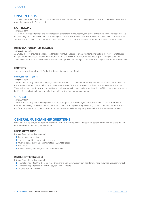## **UNSEEN TESTS**

At Grade 2 you will be offered the choice between Sight Reading or Improvisation & Interpretation. This is a previously unseen test. An example is shown in the Grade 2 book.

#### **SIGHT READING**

#### **Tempo:** 70 bpm

At Grade 2 you will be offered a Sight Reading test that is in the form of a four bar rhythm played on the snare drum. The test is made up of quarter, eighth and 16th notes and quarter and eighth note rests. The examiner will allow 90 seconds preparation and practise time and will offer the option of practising with or without a metronome. The candidate will then perform the test for the examination.

#### **IMPROVISATION & INTERPRETATION**

#### **Tempo:** 70–80 bpm

At Grade 2 the test is four bars long and the candidate will have 30 seconds preparation time. The test is in the form of a notated one bar groove that should be developed and a one bar fill. The examiner will offer the metronome as a guide throughout this time. The candidate will then have a complete practice run through with the backing track and then on the repeat, the test will be examined.

#### **EAR TESTS**

There are two tests which are Fill Playback & Recognition and Groove Recall.

#### **Fill Playback & Recognition**

#### **Tempo:** 70 bpm

The examiner will play you a one bar fill played on the snare drum with a metronome backing. You will hear the test twice. The test is made up of quarter, eighth and 16th notes and quarter note rests. Each time the test is played it is preceded by a one bar count-in. There will be a short gap for you to practise. Next you will hear a vocal count-in and you will then play the fill back with the metronome backing. The candidate will then be required to identify the test from two printed examples.

#### **Groove Recall**

#### **Tempo:** 80 bpm

The examiner will play you a two bar groove that is repeated played on the hi hat (open and closed), snare and bass drum with a metronome backing. You will hear the test twice. Each time the test is played it is preceded by a one bar count-in. There will be a short gap for you to practise. Next you will hear a vocal count-in and you will then play the groove back with the metronome backing.

## **GENERAL MUSICIANSHIP QUESTIONS**

In this part of the exam you will be asked five questions. Four of these questions will be about general music knowledge and the fifth question will be asked about your instrument.

#### **MUSIC KNOWLEDGE**

In Grade 2 you will be asked to identify:

- $\blacksquare$  Drum voices on the stave
- $\blacksquare$  The meaning of the time signature marking
- $\Box$  Quarter, dotted eighth note, eighth note and 16th note values
- **D** Rest values
- $\blacksquare$  Repeat markings including first and second time bars

#### **INSTRUMENT KNOWLEDGE**

In Grade 2 you will be asked to identify:

- The following parts of the drum kit bass drum, snare, high tom, medium tom, floor tom, hi-hat, ride cymbal and crash cymbal
- $\blacksquare$  The following parts of the drumstick tip, neck, shaft and butt
- $\blacksquare$  Two main drum kit makes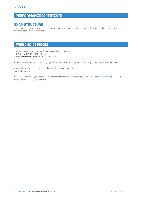# **PERFORMANCE CERTIFICATE**

## **EXAM STRUCTURE**

The candidate chooses to play 5 pieces lasting a maximum of 1 minute 30 seconds each. There are no other elements in the Performance Certificate examination.

# **FREE CHOICE PIECES**

There is an option of playing free choice pieces in the examination

- Grade Exam: 2 free choice pieces
- **Performance Certificate:** 3 free choice pieces

Candidates also have the option of playing material from the Rockschool Classics (formerly Hot Rock) book – Drums Grade 2.

Criteria for own free choice pieces can be found by visiting the website: www.rslawards.com

If there is any doubt or questions about the appropriateness of the chosen piece, you can email it to info@rslawards.com and a member of the Rockschool team will advise you.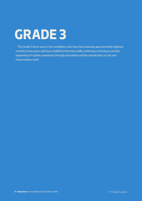# **GRADE 3**

The Grade 3 Drum exam is for candidates who have been learning approximately eighteen months to two years and have established the basic skills, preliminary techniques and the beginnings of stylistic awareness through articulation and the introduction of solo and improvisation work.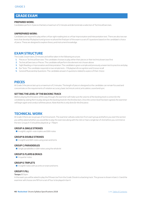# **GRADE EXAM**

#### **PREPARED WORK:**

Candidates perform 3 pieces that last a maximum of 2 minutes and demonstrate a selection of Technical Exercises.

#### **UNPREPARED WORK:**

Candidates are required to play either a 4 bar sight reading test or a 4 bar Improvisation and Interpretation test. There are also two ear tests that develop fill playback and groove recall and the final part of the exam is a set of 5 questions based on the candidate's choice of piece. These are designed to explore theory and instrument knowledge.

## **EXAM STRUCTURE**

The Grade 2 exam lasts 23 minutes and will be taken in the following structure.

- **1.** Pieces or Technical Exercises: The candidate chooses to play either their pieces or their technical exercises first
- **2.** Technical Exercises or Pieces: The candidate will perform the element not chosen above
- **3.** Sight Reading or Improvisation and Interpretation: The candidate is given a simple and previously unseen test to practice and play
- **4.** Ear Tests: The candidate responds to two simple tests Fill playback & recognition and Groove recall
- **5.** General Musicianship Questions: The candidate answers 5 questions related to a piece of their choice

### **PIECES**

At Grade 3 the pieces last up to a maximum of 2 minutes. The length of piece is designed so the candidate can remain focused and concentrate on the requirements of notation accuracy, basic technical control, articulation, sound and sync.

#### **SETTING THE LEVEL OF THE BACKING TRACK**

*Before playing the first piece all the way through, the examiner will make sure the volume of the backing track is correct for the candidate by asking them to play along to the backing track for the first few bars. Once the correct level has been agreed, the examiner will begin again and conduct all three pieces. Note that this is only done for the first piece.* 

### **TECHNICAL WORK**

At Grade 3 there are six groups of technical work. The examiner will ask a selection from each group and before you start the section you will be asked whether you would like to play the exercises along with the click or hear a single bar of click before you commence the test. Groups A–E should be played at  $q = 75$ bpm

#### **GROUP A: SINGLE STROKES**

 $\blacksquare$  In eighth, eighth-note triplets and 16th notes

#### **GROUP B: DOUBLE STROKES**

 $\blacksquare$  In eighth and 16th notes using snare and toms

#### **GROUP C: PARADIDDLES**

 $\blacksquare$  Single paradiddles in 16th notes using the whole kit

#### **GROUP D: FLAMS & DRAGS**

 $\blacksquare$  In quarter notes

#### **GROUP E: TRIPLETS**

 $\blacksquare$  In eighth notes with accents on snare and toms

#### **GROUP F: FILL**

#### **Tempo:** 80 bpm

In the exam you will be asked to play the Fill exercise from the Grade 3 book to a backing track. The groove is shown in bars 1–3 and the examiner will choose one fill from a set of four to be played in bar 4.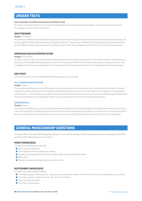## **UNSEEN TESTS**

#### SIGHT READING OR IMPROVISATION & INTERPRETATION

At Grade 3 you will be offered a choice between Sight Reading or Improvisation & Interpretation. This is a previously unseen test. An example is shown in the Grade 3 book.

#### **SIGHT READING**

#### **Tempo:** 70–80 bpm

At Grade 3 you will be offered a Sight Reading test that is in the form of a four bar rhythm played on the snare drum and is made up of quarter, eighth and 16th notes and quarter and eighth note rests. The examiner will allow 90 seconds preparation and practice time and will offer the option of practising with or without a metronome. The candidate will then perform the test for the examination.

#### **IMPROVISATION & INTERPRETATION**

#### **Tempo:** 80–100 bpm

At Grade 3 the test is four bars long and the candidate will have 30 seconds preparation time. The test is in the form of a notated one bar groove that should be developed and a one bar fill. The examiner will offer the metronome as a guide throughout this time. The candidate will then have a complete practice run through with the backing track and then on the repeat, the test will be examined.

#### **EAR TESTS**

There are two tests which are Fill Playback & Recognition and Groove recall.

#### **FILL PLAYBACK & RECOGNITION**

#### **Tempo:** 70 bpm

The examiner will play you a one bar fill played on the snare drum with a metronome backing. You will hear the test twice. The test is made up of quarter, eighth, eighth note triplets and 16th notes and quarter note rests. Each time the test is played it is preceded by a one bar count-in. There will be a short gap for you to practise. Next you will hear a vocal count-in and you will then play the fill back with the metronome backing. The candidate will then be required to identify the test from two printed examples.

#### **GROOVE RECALL**

#### **Tempo:** 80 bpm

The examiner will play you a two bar groove that is repeated played on the crash, hi hat (open and closed), snare and bass drum with a metronome backing. You will hear the test twice. Each time the test is played it is preceded by a one bar count-in. There will be a short gap for you to practise. Next you will hear a vocal count-in and you will then play the groove back with the metronome backing.

## **GENERAL MUSICIANSHIP QUESTIONS**

In this part of the exam you will be asked five questions. Four of these questions will be about general music knowledge and the fifth question will be asked about your instrument.

#### **MUSIC KNOWLEDGE**

In Grade 3 you will be asked to identify:

- $\blacksquare$  Drum voices on the stave
- $\blacksquare$  The meaning of the time signature marking
- Quarter, dotted eighth note, eighth note, triplet eighth notes and 16th note values
- $\blacksquare$  Rest values
- $\blacksquare$  Repeat markings including first and second time bars

#### **INSTRUMENT KNOWLEDGE**

In Grade 3 you will be asked to identify:

- Q The following parts of the drum kit bass drum, snare, high tom, medium tom, floor tom, hi-hat, ride cymbal and crash cymbal
- $\blacksquare$  The following parts of the drumstick tip, neck, shaft and butt
- $\blacksquare$  Two main drum kit makes
- $\blacksquare$  Two main cymbal makes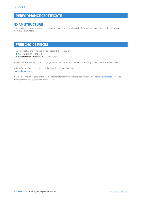# **PERFORMANCE CERTIFICATE**

## **EXAM STRUCTURE**

The candidate chooses to play 5 pieces lasting a maximum of 2 minutes each. There are no other elements in the Performance Certificate examination.

# **FREE CHOICE PIECES**

There is an option of playing free choice pieces in the examination.

- Grade Exam: 2 free choice pieces
- **Performance Certificate:** 3 free choice pieces

Candidates also have the option of playing material from the Rockschool Classics (formerly Hot Rock) book – Drums Grade 3.

Criteria for own free choice pieces can be found by visiting the website: www.rslawards.com

If there is any doubt or questions about the appropriateness of the chosen piece, you can email it to info@rslawards.com and a member of the Rockschool team will advise you.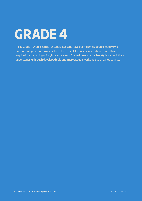# **GRADE 4**

The Grade 4 Drum exam is for candidates who have been learning approximately two – two and half years and have mastered the basic skills, preliminary techniques and have acquired the beginnings of stylistic awareness. Grade 4 develops further stylistic conviction and understanding through developed solo and improvisation work and use of varied sounds.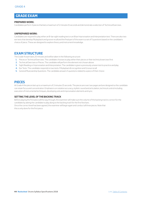## **GRADE EXAM**

#### **PREPARED WORK:**

Candidates perform 3 pieces that last a maximum of 2 minutes 15 seconds and demonstrate a selection of Technical Exercises.

#### **UNPREPARED WORK:**

Candidates are required to play either an 8-bar sight reading test or an 8 bar Improvisation and Interpretation test. There are also two ear tests that develop fill playback and groove recall and the final part of the exam is a set of 5 questions based on the candidate's choice of piece. These are designed to explore theory and instrument knowledge.

## **EXAM STRUCTURE**

The Grade 4 exam lasts 25 minutes and will be taken in the following structure:

- **1.** Pieces or Technical Exercises. The candidate chooses to play either their pieces or their technical exercises first
- **2.** Technical Exercises or Pieces. The candidate will perform the element not chosen above
- **3.** Sight Reading or Improvisation and Interpretation. The candidate is given a previously unseen test to practice and play
- **4.** Ear Tests. The candidate responds to two tests. Fill playback & recognition and Groove recall
- **5.** General Musicianship Questions. The candidate answers 5 questions related to a piece of their choice

## **PIECES**

At Grade 4 the pieces last up to a maximum of 2 minutes 15 seconds. The pieces are over two pages and are designed so the candidate can retain focus and concentration. Emphasis is on notation accuracy, stylistic sound and articulation, technical control including execution of instrumental techniques, developing solo and improvisation elements and sync.

#### **SETTING THE LEVEL OF THE BACKING TRACK**

Before playing the first piece all the way through, the examiner will make sure the volume of the backing track is correct for the candidate by asking the candidate to play along to the backing track for the first few bars. Once the correct level has been agreed, the examiner will begin again and conduct all three pieces. Note that this is only done for the first piece.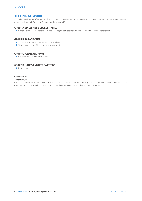## **TECHNICAL WORK**

At Grade 4 level there are five groups of technical work. The examiner will ask a selection from each group. All technical exercises are to be played to a click. Groups  $A-D$  should be played at  $q = 75$ .

#### **GROUP A: SINGLE AND DOUBLE STROKES**

■ Eighth, eighth note triplets and 16th notes. To be played first time with singles and with doubles on the repeat.

#### **GROUP B: PARADIDDLES**

- **Q** Single paradiddle in 16th notes using the whole kit
- $\blacksquare$  Triple paradiddle in 16th notes using the whole kit

#### **GROUP C: FLAMS AND RUFFS**

 $\blacksquare$  Flam tap and ruffs in quarter notes

#### **GROUP D: HANDS AND FEET PATTERNS**

**D** Four patterns

#### **GROUP E: FILL**

#### **Tempo:** 80 bpm

In the exam you will be asked to play the Fill exercise from the Grade 4 book to a backing track. The groove is shown in bars 1–3 and the examiner will choose one fill from a set of four to be played in bar 4. The candidate is to play the repeat.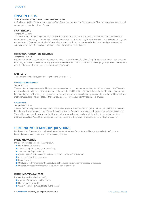## **UNSEEN TESTS**

#### **SIGHT READING OR IMPROVISATION & INTERPRETATION**

At Grade 4 you will be offered a choice between Sight Reading or Improvisation & Interpretation. This is a previously unseen test and an example is shown in the Grade 4 book.

#### **SIGHT READING**

#### **Tempo:** 80–90 bpm

At Grade 4 there is an element of improvisation. This is in the form of a two bar development. At Grade 4 the notation consists of quarter, dotted quarter, eighth, dotted eighth and 16th notes and quarter note and eighth note rests in 4/4. The test is 8 bars long and is on the whole kit. The examiner will allow 90 seconds preparation and practice time and will offer the option of practising with or without a metronome. The candidate will then perform the test for the examination.

#### **IMPROVISATION & INTERPRETATION**

#### **Tempo:** 80–120 bpm

In Grade 4, the improvisation and interpretation test contains a small amount of sight reading. This consists of a two bar groove at the beginning of the test. You will be asked to play the notation as indicated and complete the test developing the groove and ending with a two bar drum solo. This is played to a backing track of eight bars.

#### **EAR TESTS**

There are two tests: Fill Playback & Recognition and Groove Recall.

#### **Fill Playback & Recognition**

#### **Tempo:** 70 bpm

The examiner will play you a one bar fill played on the snare drum with a metronome backing. You will hear the test twice. The test is made up of quarter, eighth, eighth note triplets and dotted eighth and 16th notes. Each time the test is played it is preceded by a one bar count-in. There will be a short gap for you to practise. Next you will hear a vocal count-in and you will then play the fill back with the metronome backing. The candidate will then be required to identify the test from three printed examples.

#### **Groove Recall**

#### **Tempo:** 80–120 bpm

The examiner will play you a two bar groove that is repeated played on the crash, hi hat (open and closed), ride, bell of ride, snare and bass drum with a metronome backing. You will hear the test twice. Each time the test is played it is preceded by a one bar count-in. There will be a short gap for you to practise. Next you will hear a vocal count-in and you will then play the groove back with the metronome backing. You will then be required to identify the style of the groove from asset of three listed by the examiner.

## **GENERAL MUSICIANSHIP QUESTIONS**

For this section of the exam the candidate chooses the piece to answer 5 questions on. The examiner will ask you four music knowledge questions and one instrument knowledge question.

#### **MUSIC KNOWLEDGE**

In Grade 4 you will be asked to identify/explain:

- $\Box$  Drum voices on the stave
- $\blacksquare$  The meaning of the time signature marking
- $\blacksquare$  The meaning of bpm markings
- $\blacksquare$  Repeat marks, first and second time bars, DC, DS al Coda, and al fine markings
- $\blacksquare$  All note values in the chosen piece
- **E** Equivalent rests
- $\Box$  One type of rudiment that can be used stylistically in the solo or development section of the piece
- $\blacksquare$  Use of drum voices, rhythms and techniques in drum solo sections

#### **INSTRUMENT KNOWLEDGE**

In Grade 4 you will be asked to identify:

- $\blacksquare$  Any part of the drumkit and drumstick
- $\blacksquare$  How to tune the drum kit
- $\blacksquare$  Cross stick, choke cymbal, bell of ride and accent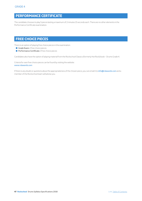# **PERFORMANCE CERTIFICATE**

The candidate chooses to play 5 pieces lasting a maximum of 2 minutes 15 seconds each. There are no other elements in the Performance Certificate examination.

# **FREE CHOICE PIECES**

There is an option of playing free choice pieces in the examination.

- Grade Exam: 2 free choice pieces
- **Performance Certificate:** 3 free choice pieces

Candidates also have the option of playing material from the Rockschool Classics (formerly Hot Rock) book – Drums Grade 4.

Criteria for own free choice pieces can be found by visiting the website: www.rslawards.com

If there is any doubt or questions about the appropriateness of the chosen piece, you can email it to info@rslawards.com and a member of the Rockschool team will advise you.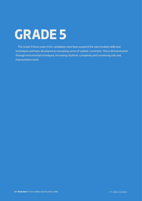# **GRADE 5**

The Grade 5 Drum exam is for candidates who have acquired the intermediate skills and techniques and have developed an increasing sense of stylistic conviction. This is demonstrated through instrumental techniques, increasing rhythmic complexity and convincing solo and improvisation work.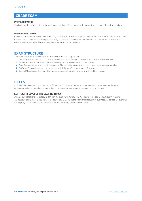# **GRADE EXAM**

#### **PREPARED WORK:**

Candidates perform 3 pieces that last a maximum of 2 minutes 30 seconds and demonstrate a selection of Technical Exercises.

#### **UNPREPARED WORK:**

Candidates are required to play either an 8 bar sight reading test or an 8 bar Improvisation and Interpretation test. There are also two ear tests that continue to develop fill playback and groove recall. The final part of the exam is a set of 5 questions based on the candidate's choice of piece. These explore theory and instrument knowledge.

## **EXAM STRUCTURE**

The Grade 5 exam lasts 25 minutes and will be taken in the following structure.

- **1.** Pieces or Technical Exercises: The candidate chooses to play either their pieces or their technical exercises first.
- **2.** Technical Exercises or Pieces: The candidate will perform the element not chosen above.
- **3.** Sight Reading or Improvisation & Interpretation: The candidate is given a previously unseen test to practice and play.
- **4.** Ear Tests: The candidate responds to two tests Fill playback & recognition and Groove recall.
- **5.** General Musicianship Questions: The candidate answers 5 questions related to a piece of their choice.

## **PIECES**

At Grade 5 the pieces last up to a maximum of 2 minutes 30 seconds. Emphasis is on notation accuracy, execution of stylistic techniques, technical control, developing solo and improvisation elements and communication of the music.

#### **SETTING THE LEVEL OF THE BACKING TRACK**

*Before playing the first piece all the way through, the examiner will make sure the volume of the backing track is correct for the candidate by asking them to play along to the backing track for the first few bars. Once the correct level has been agreed, the examiner will begin again and conduct all three pieces. Note that this is only done for the first piece.*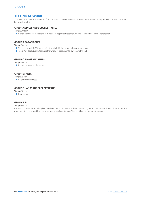## **TECHNICAL WORK**

At Grade 5 level there are six groups of technical work. The examiner will ask a selection from each group. All technical exercises are to be played to a click.

#### **GROUP A: SINGLE AND DOUBLE STROKES**

**Tempo:** 80 bpm

■ Eighth, eighth note triplets and 16th notes. To be played first time with singles and with doubles on the repeat

#### **GROUP B: PARADIDDLES**

**Tempo:** 80 bpm

- Single paradiddle in 16th notes using the whole kit (bass drum follows the right hand)
- $\blacksquare$  Triple Paradiddle 16th notes using the whole kit (bass drum follows the right hand)

#### **GROUP C: FLAMS AND RUFFS**

**Tempo:** 80 bpm

**D** Flam accent and single drag tap

#### **GROUP D: ROLLS**

**Tempo:** 75 bpm

 $\blacksquare$  Five stroke roll phrase

#### **GROUP E: HANDS AND FEET PATTERNS**

**Tempo:** 90 bpm

 $\blacksquare$  Four patterns

#### **GROUP F: FILL**

#### **Tempo:** 90 bpm

In the exam you will be asked to play the Fill exercise from the Grade 5 book to a backing track. The groove is shown in bars 1–3 and the examiner will choose one fill from a set of four to be played in bar 4. The candidate is to perform the repeat.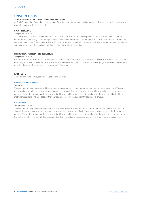## **UNSEEN TESTS**

#### **SIGHT READING OR IMPROVISATION & INTERPRETATION**

At Grade 5 you will be offered the choice between Sight Reading or Improvisation & Interpretation. This is a previously unseen test. An example is shown in the Grade 5 book.

#### **SIGHT READING**

#### **Tempo:** 80–120 bpm

At Grade 5 there is an element of improvisation. This is in the form of a two bar development. At Grade 5 the notation consists of quarter, dotted quarter, eighth, dotted eighth and sixteenth notes and quarter note and eighth note rests in 4/4. The test is 8 bars long and is on the whole kit. The examiner will allow 90 seconds preparation and practice time and will offer the option of practising with or without a metronome. The candidate will then perform the test for the examination.

#### **IMPROVISATION & INTERPRETATION**

#### **Tempo:** 80–120 bpm

In Grade 5, the improvisation and interpretation test contains a small amount of sight reading. This consists of a two bar groove at the beginning of the test. You will be asked to play the notation as indicated and complete the test developing the groove and ending with a two bar drum solo. This is played to a backing track of eight bars.

#### **EAR TESTS**

There are two tests: Fill Playback & Recognition and Groove Recall

#### **Fill Playback & Recognition**

#### **Tempo:** 70 bpm

The examiner will play you a one bar fill played on the snare drum with a metronome backing. You will hear the test twice. The test is made up of quarter, eighth, eighth note triplets, dotted eighth and 16th notes. Each time the test is played it is preceded by a one bar count-in. There will be a short gap for you to practise. Next you will hear a vocal count-in and you will then play the fill back with the metronome backing. The candidate will then be required to identify the test from three printed examples.

#### **Groove Recall**

#### **Tempo:** 80–120 bpm

The examiner will play you a two bar groove that is repeated played on the crash, hi hat (open and closed), ride, bell of ride, cross stick, snare and bass drum with a metronome backing. You will hear the test twice. Each time the test is played it is preceded by a one bar count-in. There will be a short gap for you to practise. Next you will hear a vocal count-in and you will then play the groove back with the metronome backing. You will then be required to identify the style of the groove from a set of three listed by the examiner.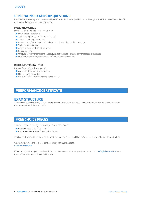## **GENERAL MUSICIANSHIP QUESTIONS**

In this part of the exam you will be asked five questions. Four of these questions will be about general music knowledge and the fifth question will be asked about your instrument.

#### **MUSIC KNOWLEDGE**

In Grade 5 you will be asked to identify/explain:

- $\blacksquare$  Drum voices on the stave
- $\blacksquare$  The meaning of the time signature marking
- $\blacksquare$  The meaning of bpm markings
- Repeat marks, first and second time bars, D.C., D.S., al Coda and al fine markings
- $\blacksquare$  Stylistic drum notation
- $\blacksquare$  All note values used in the chosen piece
- **E** Equivalent rests
- $\blacksquare$  One type of rudiment that can be used stylistically in the solo or development section of the piece
- $\blacksquare$  Use of drum voices, rhythms and techniques in drum solo sections

#### **INSTRUMENT KNOWLEDGE**

In Grade 5 you will be asked to identify:

- $\blacksquare$  Any part of the drum kit and drumstick
- $\blacksquare$  How to tune the drum kit
- $\blacksquare$  Cross stick, choke cymbal, bell of ride and accent

## **PERFORMANCE CERTIFICATE**

## **EXAM STRUCTURE**

The candidate chooses to play 5 pieces lasting a maximum of 2 minutes 30 seconds each. There are no other elements in the Performance Certificate examination.

## **FREE CHOICE PIECES**

There is an option of playing free choice pieces in the examination.

- Grade Exam:  $2$  free choice pieces
- **Performance Certificate:** 3 free choice pieces

Candidates also have the option of playing material from the Rockschool Classics (formerly Hot Rock) book – Drums Grade 5.

Criteria for own free choice pieces can be found by visiting the website: www.rslawards.com

If there is any doubt or questions about the appropriateness of the chosen piece, you can email it to info@rslawards.com and a member of the Rockschool team will advise you.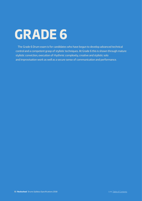# **GRADE 6**

The Grade 6 Drum exam is for candidates who have begun to develop advanced technical control and a competent grasp of stylistic techniques. At Grade 6 this is shown through mature stylistic conviction, execution of rhythmic complexity, creative and stylistic solo and improvisation work as well as a secure sense of communication and performance.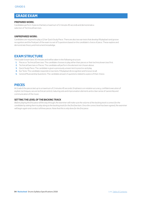# **GRADE EXAM**

#### **PREPARED WORK:**

Candidates perform 3 pieces that last a maximum of 2 minutes 45 seconds and demonstrate a selection of Technical Exercises.

#### **UNPREPARED WORK:**

Candidates are required to play a 12 bar Quick Study Piece. There are also two ear tests that develop fill playback and groove recognition and the final part of the exam is a set of 5 questions based on the candidate's choice of piece. These explore and demonstrate theory and instrument knowledge.

## **EXAM STRUCTURE**

The Grade 6 exam lasts 30 minutes and will be taken in the following structure:

- **1.** Pieces or Technical Exercises: The candidate chooses to play either their pieces or their technical exercises first.
- **2.** Technical Exercises or Pieces: The candidate will perform the element not chosen above.
- **3.** Quick Study Piece: The candidate is given a previously unseen test to practice and play.
- **4.** Ear Tests: The candidate responds to two tests. Fill playback & recognition and Groove recall.
- **5.** General Musicianship Questions: The candidate answers 5 questions related to a piece of their choice.

## **PIECES**

At Grade 6 the pieces last up to a maximum of 2 minutes 45 seconds. Emphasis is on notation accuracy, confident execution of stylistic techniques, secure technical control, maturing solo and improvisation elements and a clear sense of ownership and communication of the music.

#### **SETTING THE LEVEL OF THE BACKING TRACK**

*Before playing the first piece all the way through, the examiner will make sure the volume of the backing track is correct for the*  candidate by asking them to play along to the backing track for the first few bars. Once the correct level has been agreed, the examiner *will begin again and conduct all three pieces. Note that this is only done for the first piece.*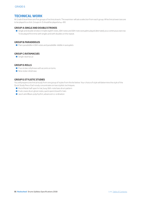## **TECHNICAL WORK**

At Grade 6 level there are five groups of technical work. The examiner will ask a selection from each group. All technical exercises are to be played to a click. Groups A–D should be played at  $q = 80$ .

#### **GROUP A: SINGLE AND DOUBLE STROKES**

Q Single and double strokes in triplet eighth notes, 16th notes and 16th note sextuplets played alternately as a continuous exercise. To be played first time with singles and with doubles on the repeat.

#### **GROUP B: PARADIDDLES**

■ Flam paradiddle in 16th notes and paradiddle-diddle in sextuplets

#### **GROUP C: RATAMACUES**

 $\blacksquare$  Single ratamacue

#### **GROUP D: ROLLS**

- $\blacksquare$  Five stroke roll phrase with accents on toms.
- $\blacksquare$  Nine stoke roll phrase.

#### **GROUP E: STYLISTIC STUDIES**

You will prepare a technical study from one group of styles from the list below. Your choice of style will determine the style of the Quick Study Piece. Each study concentrates on two stylistic techniques.

- Rock/Metal: half open hi-hat, busy 16th-note bass drum pattern
- **D** Funk: snare drum ghost notes, quick open/closed hi-hats
- **Q** Jazz/Latin/Blues: polyrhythm, advanced co-ordination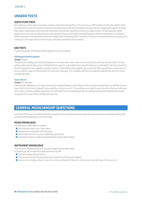## **UNSEEN TESTS**

#### **QUICK STUDY PIECE**

At Grade 6 you will be asked to prepare and play a short Quick Study Piece. The style of your QSP is determined by the stylistic study you selected in the technical exercise section. You will be shown the test and played the track with the notated parts played. Any bars that require improvisation will not be demonstrated. You will then have three minutes to study the test. The backing track will be played twice more. You are allowed to practise during the first run through of the backing track, with the notated parts now absent, before playing it to the examiner on the second playing of the backing track. The QSP is in the form of a lead sheet and it is up to you to create your own interpretation of the music in the parts marked for improvisation.

#### **EAR TESTS**

There are two tests: Fill Playback & Recognition and Groove Recall.

#### **Fill Playback And Recognition**

#### **Tempo:** 70 bpm

The examiner will play you a one bar fill played on the snare drum with a metronome backing. You will hear the test twice. The test will be made up of all values and combinations from quarter note to 16th note sextuplet and quarter and eighth note rests. Each time the test is played it is preceded by a one bar count-in. There will be a short gap for you to practise. Next you will hear a vocal count-in and you will then play the fill back with the metronome backing. The candidate will then be required to identify the test from three printed examples.

#### **Groove Recall**

#### **Tempo:** 80–140 bpm

The examiner will play you a two bar groove that is repeated played on the whole kit with a metronome backing. You will hear the test twice. Each time the test is played it is preceded by a one bar count-in. There will be a short gap for you to practise. Next you will hear a vocal count-in and you will then play the groove back with the metronome backing. You will then be required to identify the style of the groove from a set of four listed by the examiner.

## **GENERAL MUSICIANSHIP QUESTIONS**

In this part of the exam you will be asked five questions. Four of these questions will be about general music knowledge and the fifth question will be asked about your instrument.

#### **MUSIC KNOWLEDGE**

In Grade 6 you will be asked to explain:

- $\blacksquare$  Any notation used in the chosen piece
- $\blacksquare$  Any dynamic marking found in the piece
- $\blacksquare$  What makes the drum groove stylistically appropriate
- Use of drum voices, rhythms and techniques in drum solo sections

#### **INSTRUMENT KNOWLEDGE**

The examiner will also ask you one question regarding your instrument.

In Grade 6 you will be asked to explain and demonstrate:

- $\Box$  Care and maintenance of drums
- $\blacksquare$  How to tune the drum kit according to the style of one of the pieces played
- Q How to convincingly produce: cross stick, choke cymbal, bell of ride, rim-shots, ghost notes, half open hi-hat, accents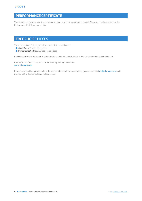# **PERFORMANCE CERTIFICATE**

The candidate chooses to play 5 pieces lasting a maximum of 2 minutes 45 seconds each. There are no other elements in the Performance Certificate examination.

# **FREE CHOICE PIECES**

There is an option of playing free choice pieces in the examination.

- Grade Exam: 2 free choice pieces
- **Performance Certificate:** 3 free choice pieces

Candidates also have the option of playing material from the Grade 6 pieces in the Rockschool Classics compendium.

Criteria for own free choice pieces can be found by visiting the website: www.rslawards.com

If there is any doubt or questions about the appropriateness of the chosen piece, you can email it to info@rslawards.com and a member of the Rockschool team will advise you.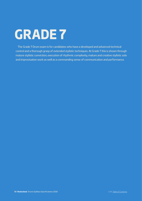# **GRADE 7**

The Grade 7 Drum exam is for candidates who have a developed and advanced technical control and a thorough grasp of extended stylistic techniques. At Grade 7 this is shown through mature stylistic conviction, execution of rhythmic complexity, mature and creative stylistic solo and improvisation work as well as a commanding sense of communication and performance.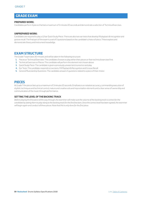# **GRADE EXAM**

#### **PREPARED WORK:**

Candidates perform 3 pieces that last a maximum of 3 minutes 10 seconds and demonstrate a selection of Technical Exercises.

#### **UNPREPARED WORK:**

Candidates are required to play a 12 bar Quick Study Piece. There are also two ear tests that develop fill playback & recognition and groove recall. The final part of the exam is a set of 5 questions based on the candidate's choice of piece. These explore and demonstrate theory and instrument knowledge.

## **EXAM STRUCTURE**

The Grade 7 exam lasts 30 minutes and will be taken in the following structure:

- **1.** Pieces or Technical Exercises: The candidate chooses to play either their pieces or their technical exercises first
- **2.** Technical Exercises or Pieces: The candidate will perform the element not chosen above
- **3.** Quick Study Piece: The candidate is given a previously unseen test to practice and play
- **4.** Ear Tests: The candidate responds to two tests. Fill Playback & Recognition and Groove Recall.
- **5.** General Musicianship Questions: The candidate answers 5 questions related to a piece of their choice

## **PIECES**

At Grade 7 the pieces last up to a maximum of 3 minutes 10 seconds. Emphasis is on notation accuracy, commanding execution of stylistic techniques and technical control, mature and creative solo and improvisation elements and a clear sense of ownership and communication of the music through performance.

#### **SETTING THE LEVEL OF THE BACKING TRACK**

*Before playing the first piece all the way through, the examiner will make sure the volume of the backing track is correct for the candidate by asking them to play along to the backing track for the first few bars. Once the correct level has been agreed, the examiner will begin again and conduct all three pieces. Note that this is only done for the first piece.*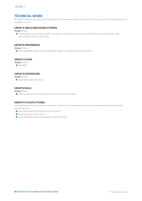## **TECHNICAL WORK**

At Grade 7 level there are six groups of technical work. The examiner will ask a selection from each group. All technical exercises are to be played to a click.

#### **GROUP A: SINGLE AND DOUBLE STROKES**

**Tempo:** 65 bpm

■ Single strokes in quarter notes, eighth notes, eighth-note triplets, 16th notes, quintuplet 16th notes, sextuplet 16th notes, septuplet 16th notes and 32nd notes.

#### **GROUP B: PARADIDDLES**

**Tempo:** 80 bpm

■ Flam paradiddle in 16th notes and paradiddle-diddle in sextuplets with accents on toms.

#### **GROUP C: FLAMS**

**Tempo:** 80 bpm

 $\blacksquare$  Pataflafla

#### **GROUP D: RATAMACUES**

**Tempo:** 80 bpm

 $\blacksquare$  Single and double ratamacue

#### **GROUP E: ROLLS**

**Tempo:** 85 bpm

 $\blacksquare$  Seven stroke roll phrase. Nine stoke roll phrase with accents on toms

#### **GROUP F: STYLISTIC STUDIES**

You will prepare a technical study from one group of styles from the list below. Your choice of style will determine the style of the Quick Study Piece.

- Rock/Metal: bell of ride 7/8 pattern, five stroke roll
- **D** Funk: linear funk, nine stroke roll
- **Q** Jazz/Latin/Blues: bell of ride 6/8 pattern, splashed hi-hats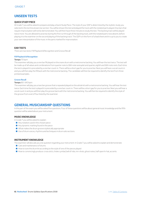## **UNSEEN TESTS**

#### **QUICK STUDY PIECE**

At Grade 7 you will be asked to prepare and play a Quick Study Piece. The style of your QSP is determined by the stylistic study you selected in the technical exercise section. You will be shown the test and played the track with the notated parts played. Any bars that require improvisation will not be demonstrated. You will then have three minutes to study the test. The backing track will be played twice more. You are allowed to practise during the first run through of the backing track, with the notated parts now absent, before playing it to the examiner on the second playing of the backing track. The QSP is in the form of a lead sheet and it is up to you to create your own interpretation of the music in the parts marked for improvisation.

#### **EAR TESTS**

There are two tests: Fill Playback & Recognition and Groove Recall

#### **Fill Playback & Recognition**

#### **Tempo:** 70 bpm

The examiner will play you a one bar fill played on the snare drum with a metronome backing. You will hear the test twice. The test will be made up of all values and combinations from quarter note to 16th note sextuplet and quarter, eighth and 16th note rests. Each time the test is played it is preceded by a one bar count-in. There will be a short gap for you to practise. Next you will hear a vocal count-in and you will then play the fill back with the metronome backing. The candidate will then be required to identify the test from three printed examples.

#### **Groove Recall**

#### **Tempo:** 80–140 bpm

The examiner will play you a two bar groove that is repeated played on the whole kit with a metronome backing. You will hear the test twice. Each time the test is played it is preceded by a one bar count-in. There will be a short gap for you to practise. Next you will hear a vocal count-in and you will then play the groove back with the metronome backing. You will then be required to identify the style of the groove from a set of four listed by the examiner.

## **GENERAL MUSICIANSHIP QUESTIONS**

In this part of the exam you will be asked five questions. Four of these questions will be about general music knowledge and the fifth question will be asked about your instrument.

#### **MUSIC KNOWLEDGE**

In Grade 7 you will be asked to explain:

- $\blacksquare$  Any notation used in the chosen piece
- $\blacksquare$  Any dynamic marking found in the piece
- $\blacksquare$  What makes the drum groove stylistically appropriate
- $\blacksquare$  Use of drum voices, rhythms and techniques in drum solo sections

#### **INSTRUMENT KNOWLEDGE**

The examiner will also ask you one question regarding your instrument. In Grade 7 you will be asked to explain and demonstrate:

- $\Box$  Care and maintenance of drums
- $\blacksquare$  How to tune the drum kit according to the style of one of the pieces played
- Q How to convincingly produce: cross stick, choke cymbal, bell of ride, rim-shots, ghost notes, half open hi-hat, accents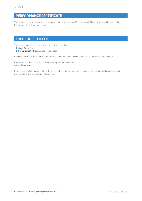# **PERFORMANCE CERTIFICATE**

The candidate chooses to play 5 pieces lasting a maximum of 3 minutes 10 seconds each. There are no other elements in the Performance Certificate examination.

# **FREE CHOICE PIECES**

There is an option of playing free choice pieces in the examination.

- Grade Exam: 2 free choice pieces
- **Performance Certificate:** 3 free choice pieces

Candidates also have the option of playing material from the Grade 7 pieces in the Rockschool Classics compendium.

Criteria for own free choice pieces can be found by visiting the website: www.rslawards.com

If there is any doubt or questions about the appropriateness of the chosen piece, you can email it to info@rslawards.com and a member of the Rockschool team will advise you.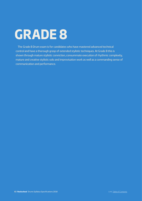# **GRADE 8**

The Grade 8 Drum exam is for candidates who have mastered advanced technical control and have a thorough grasp of extended stylistic techniques. At Grade 8 this is shown through mature stylistic conviction, consummate execution of rhythmic complexity, mature and creative stylistic solo and improvisation work as well as a commanding sense of communication and performance.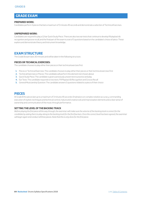# **GRADE EXAM**

#### **PREPARED WORK:**

Candidates perform 3 pieces that last a maximum of 3 minutes 45 seconds and demonstrate a selection of Technical Exercises.

#### **UNPREPARED WORK:**

Candidates are required to play a 12 bar Quick Study Piece. There are also two ear tests that continue to develop fill playback & recognition and groove recall, and the final part of the exam is a set of 5 questions based on the candidate's choice of piece. These explore and demonstrate theory and instrument knowledge.

## **EXAM STRUCTURE**

The Grade 8 exam lasts 30 minutes and will be taken in the following structure:

#### **PIECES OR TECHNICAL EXERCISES:**

The candidate chooses to play either their pieces or their technical exercises first

- **1.** Pieces or Technical Exercises: The candidate chooses to play either their pieces or their technical exercises first
- **2.** Technical Exercises or Pieces: The candidate will perform the element not chosen above
- **3.** Quick Study Piece: The candidate is given a previously unseen test to practice and play
- **4.** Ear Tests: The candidate responds to two tests. Fill Playback & Recognition and Groove Recall
- **5.** General Musicianship Question: The candidate answers 5 questions related to a piece of their choice

## **PIECES**

At Grade 8 the pieces last up to a maximum of 3 minutes 45 seconds. Emphasis is on complex notation accuracy, commanding execution of stylistic techniques and technical control, mature and creative solo and improvisation elements and a clear sense of ownership and communication of the music through performance.

#### **SETTING THE LEVEL OF THE BACKING TRACK**

*Before playing the first piece all the way through, the examiner will make sure the volume of the backing track is correct for the*  candidate by asking them to play along to the backing track for the first few bars. Once the correct level has been agreed, the examiner *will begin again and conduct all three pieces. Note that this is only done for the first piece.*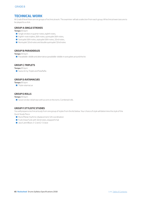## **TECHNICAL WORK**

At Grade 8 level there are six groups of technical work. The examiner will ask a selection from each group. All technical exercises are to be played to a click.

### **GROUP A: SINGLE STROKES**

**Tempo:** 65 bpm

- Single strokes in quarter notes, eighth notes,
- Eighth-note triplets, 16th notes, quintuplet 16th notes,
- Sextuplet 16th notes, septuplet 16th notes, 32nd notes,
- Nontuplet 32nd notes and double quintuplet 32nd notes

#### **GROUP B: PARADIDDLES**

**Tempo:** 90 bpm

 $\blacksquare$  Paradiddle-diddle and alternative paradiddle-diddle in sextuplets around the kit.

#### **GROUP C: TRIPLETS**

**Tempo:** 85 bpm

**G Swiss Army Triplet and Pataflafla** 

#### **GROUP D: RATAMACUES**

**Tempo:** 85 bpm

 $\blacksquare$  Triple ratamacue

#### **GROUP E: ROLLS**

**Tempo:** 90 bpm

 $\blacksquare$  Seven stroke roll phrase with accent on the toms. Combined rolls.

### **GROUP F: STYLISTIC STUDIES**

You will prepare a technical study from one group of styles from the list below. Your choice of style will determine the style of the Quick Study Piece.

- Rock/Metal: rhythmic displacement, 5/4 coordination
- Funk: linear funk with 32nd notes, stepped hi hat
- Jazz/Latin/Blues: 3–2 and 2–3 clave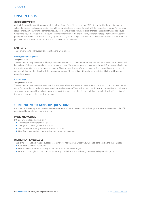## **UNSEEN TESTS**

#### **QUICK STUDY PIECE**

At Grade 8 you will be asked to prepare and play a Quick Study Piece. The style of your QSP is determined by the stylistic study you selected in the technical exercise section. You will be shown the test and played the track with the notated parts played. Any bars that require improvisation will not be demonstrated. You will then have three minutes to study the test. The backing track will be played twice more. You are allowed to practise during the first run through of the backing track, with the notated parts now absent, before playing it to the examiner on the second playing of the backing track. The QSP is in the form of a lead sheet and it is up to you to create your own interpretation of the music in the parts marked for improvisation.

#### **EAR TESTS**

There are two tests: Fill Playback & Recognition and Groove Recall

#### **Fill Playback & Recognition**

#### **Tempo:** 70 bpm

The examiner will play you a one bar fill played on the snare drum with a metronome backing. You will hear the test twice. The test will be made up of all values and combinations from quarter note to 16th note sextuplet and quarter, eighth and 16th note rests. Each time the test is played it is preceded by a one bar count-in. There will be a short gap for you to practise. Next you will hear a vocal count-in and you will then play the fill back with the metronome backing. The candidate will then be required to identify the test from three printed examples.

#### **Groove Recall**

#### **Tempo:** 80–160 bpm

The examiner will play you a two bar groove that is repeated played on the whole kit with a metronome backing. You will hear the test twice. Each time the test is played it is preceded by a one bar count-in. There will be a short gap for you to practise. Next you will hear a vocal count-in and you will then play the groove back with the metronome backing. You will then be required to identify the style of the groove from a set of four listed by the examiner.

## **GENERAL MUSICIANSHIP QUESTIONS**

In this part of the exam you will be asked five questions. Four of these questions will be about general music knowledge and the fifth question will be asked about your instrument.

#### **MUSIC KNOWLEDGE**

In Grade 8 you will be asked to explain:

- $\blacksquare$  Any notation used in the chosen piece
- $\blacksquare$  Any dynamic marking found in the piece
- $\blacksquare$  What makes the drum groove stylistically appropriate
- $\blacksquare$  Use of drum voices, rhythms and techniques in drum solo sections

#### **INSTRUMENT KNOWLEDGE**

The examiner will also ask you one question regarding your instrument. In Grade 8 you will be asked to explain and demonstrate:

- $\Box$  Care and maintenance of drums
- $\blacksquare$  How to tune the drum kit according to the style of one of the pieces played
- Q How to convincingly produce: cross stick, choke cymbal, bell of ride, rim-shots, ghost notes, half open hi-hat, accents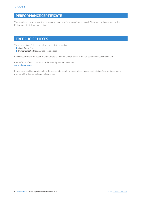# **PERFORMANCE CERTIFICATE**

The candidate chooses to play 5 pieces lasting a maximum of 3 minutes 45 seconds each. There are no other elements in the Performance Certificate examination.

# **FREE CHOICE PIECES**

There is an option of playing free choice pieces in the examination.

- Grade Exam: 2 free choice pieces
- **Performance Certificate:** 3 free choice pieces

Candidates also have the option of playing material from the Grade 8 pieces in the Rockschool Classics compendium.

Criteria for own free choice pieces can be found by visiting the website: www.rslawards.com

If there is any doubt or questions about the appropriateness of the chosen piece, you can email it to info@rslawards.com and a member of the Rockschool team will advise you.